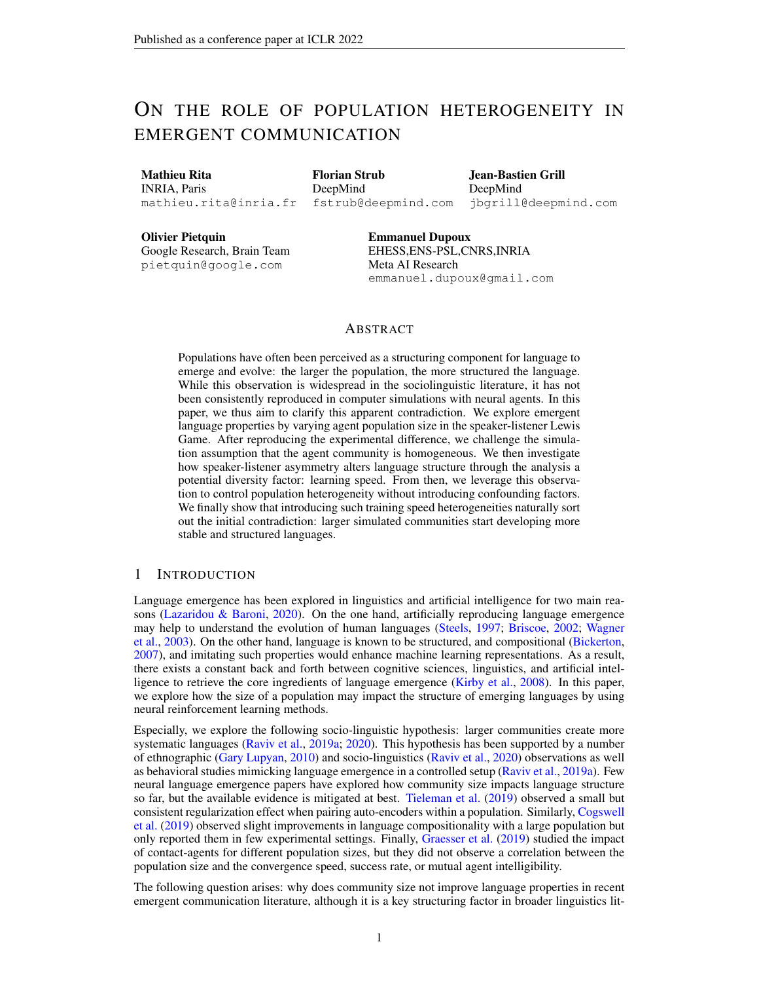# ON THE ROLE OF POPULATION HETEROGENEITY IN EMERGENT COMMUNICATION

Mathieu Rita INRIA, Paris mathieu.rita@inria.fr

Florian Strub DeepMind fstrub@deepmind.com

Jean-Bastien Grill DeepMind jbgrill@deepmind.com

Olivier Pietquin Google Research, Brain Team pietquin@google.com

Emmanuel Dupoux EHESS,ENS-PSL,CNRS,INRIA Meta AI Research emmanuel.dupoux@gmail.com

# ABSTRACT

Populations have often been perceived as a structuring component for language to emerge and evolve: the larger the population, the more structured the language. While this observation is widespread in the sociolinguistic literature, it has not been consistently reproduced in computer simulations with neural agents. In this paper, we thus aim to clarify this apparent contradiction. We explore emergent language properties by varying agent population size in the speaker-listener Lewis Game. After reproducing the experimental difference, we challenge the simulation assumption that the agent community is homogeneous. We then investigate how speaker-listener asymmetry alters language structure through the analysis a potential diversity factor: learning speed. From then, we leverage this observation to control population heterogeneity without introducing confounding factors. We finally show that introducing such training speed heterogeneities naturally sort out the initial contradiction: larger simulated communities start developing more stable and structured languages.

# 1 INTRODUCTION

Language emergence has been explored in linguistics and artificial intelligence for two main reasons [\(Lazaridou & Baroni,](#page-10-0) [2020\)](#page-10-0). On the one hand, artificially reproducing language emergence may help to understand the evolution of human languages [\(Steels,](#page-11-0) [1997;](#page-11-0) [Briscoe,](#page-9-0) [2002;](#page-9-0) [Wagner](#page-12-0) [et al.,](#page-12-0) [2003\)](#page-12-0). On the other hand, language is known to be structured, and compositional [\(Bickerton,](#page-9-1) [2007\)](#page-9-1), and imitating such properties would enhance machine learning representations. As a result, there exists a constant back and forth between cognitive sciences, linguistics, and artificial intelligence to retrieve the core ingredients of language emergence [\(Kirby et al.,](#page-10-1) [2008\)](#page-10-1). In this paper, we explore how the size of a population may impact the structure of emerging languages by using neural reinforcement learning methods.

Especially, we explore the following socio-linguistic hypothesis: larger communities create more systematic languages [\(Raviv et al.,](#page-11-1) [2019a;](#page-11-1) [2020\)](#page-11-2). This hypothesis has been supported by a number of ethnographic [\(Gary Lupyan,](#page-10-2) [2010\)](#page-10-2) and socio-linguistics [\(Raviv et al.,](#page-11-2) [2020\)](#page-11-2) observations as well as behavioral studies mimicking language emergence in a controlled setup [\(Raviv et al.,](#page-11-1) [2019a\)](#page-11-1). Few neural language emergence papers have explored how community size impacts language structure so far, but the available evidence is mitigated at best. [Tieleman et al.](#page-11-3) [\(2019\)](#page-11-3) observed a small but consistent regularization effect when pairing auto-encoders within a population. Similarly, [Cogswell](#page-9-2) [et al.](#page-9-2) [\(2019\)](#page-9-2) observed slight improvements in language compositionality with a large population but only reported them in few experimental settings. Finally, [Graesser et al.](#page-10-3) [\(2019\)](#page-10-3) studied the impact of contact-agents for different population sizes, but they did not observe a correlation between the population size and the convergence speed, success rate, or mutual agent intelligibility.

The following question arises: why does community size not improve language properties in recent emergent communication literature, although it is a key structuring factor in broader linguistics lit-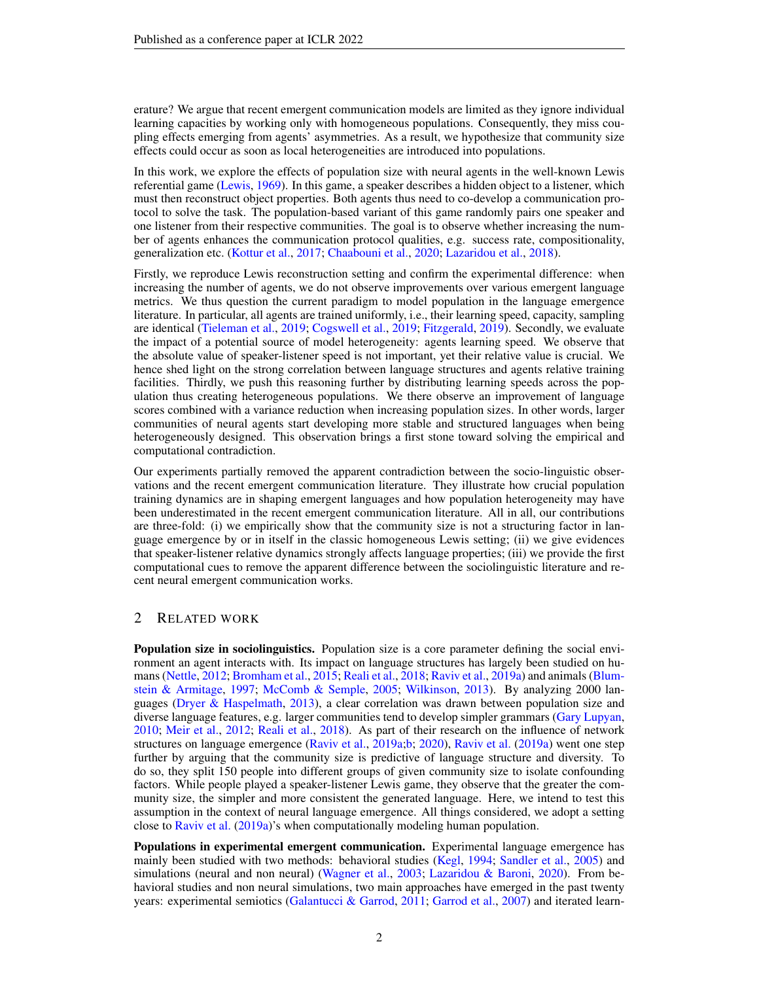erature? We argue that recent emergent communication models are limited as they ignore individual learning capacities by working only with homogeneous populations. Consequently, they miss coupling effects emerging from agents' asymmetries. As a result, we hypothesize that community size effects could occur as soon as local heterogeneities are introduced into populations.

In this work, we explore the effects of population size with neural agents in the well-known Lewis referential game [\(Lewis,](#page-10-4) [1969\)](#page-10-4). In this game, a speaker describes a hidden object to a listener, which must then reconstruct object properties. Both agents thus need to co-develop a communication protocol to solve the task. The population-based variant of this game randomly pairs one speaker and one listener from their respective communities. The goal is to observe whether increasing the number of agents enhances the communication protocol qualities, e.g. success rate, compositionality, generalization etc. [\(Kottur et al.,](#page-10-5) [2017;](#page-10-5) [Chaabouni et al.,](#page-9-3) [2020;](#page-9-3) [Lazaridou et al.,](#page-10-6) [2018\)](#page-10-6).

Firstly, we reproduce Lewis reconstruction setting and confirm the experimental difference: when increasing the number of agents, we do not observe improvements over various emergent language metrics. We thus question the current paradigm to model population in the language emergence literature. In particular, all agents are trained uniformly, i.e., their learning speed, capacity, sampling are identical [\(Tieleman et al.,](#page-11-3) [2019;](#page-11-3) [Cogswell et al.,](#page-9-2) [2019;](#page-9-2) [Fitzgerald,](#page-10-7) [2019\)](#page-10-7). Secondly, we evaluate the impact of a potential source of model heterogeneity: agents learning speed. We observe that the absolute value of speaker-listener speed is not important, yet their relative value is crucial. We hence shed light on the strong correlation between language structures and agents relative training facilities. Thirdly, we push this reasoning further by distributing learning speeds across the population thus creating heterogeneous populations. We there observe an improvement of language scores combined with a variance reduction when increasing population sizes. In other words, larger communities of neural agents start developing more stable and structured languages when being heterogeneously designed. This observation brings a first stone toward solving the empirical and computational contradiction.

Our experiments partially removed the apparent contradiction between the socio-linguistic observations and the recent emergent communication literature. They illustrate how crucial population training dynamics are in shaping emergent languages and how population heterogeneity may have been underestimated in the recent emergent communication literature. All in all, our contributions are three-fold: (i) we empirically show that the community size is not a structuring factor in language emergence by or in itself in the classic homogeneous Lewis setting; (ii) we give evidences that speaker-listener relative dynamics strongly affects language properties; (iii) we provide the first computational cues to remove the apparent difference between the sociolinguistic literature and recent neural emergent communication works.

# 2 RELATED WORK

Population size in sociolinguistics. Population size is a core parameter defining the social environment an agent interacts with. Its impact on language structures has largely been studied on humans [\(Nettle,](#page-11-4) [2012;](#page-11-4) [Bromham et al.,](#page-9-4) [2015;](#page-9-4) [Reali et al.,](#page-11-5) [2018;](#page-11-5) [Raviv et al.,](#page-11-1) [2019a\)](#page-11-1) and animals [\(Blum](#page-9-5)[stein & Armitage,](#page-9-5) [1997;](#page-9-5) [McComb & Semple,](#page-11-6) [2005;](#page-11-6) [Wilkinson,](#page-12-1) [2013\)](#page-12-1). By analyzing 2000 languages [\(Dryer & Haspelmath,](#page-9-6) [2013\)](#page-9-6), a clear correlation was drawn between population size and diverse language features, e.g. larger communities tend to develop simpler grammars [\(Gary Lupyan,](#page-10-2) [2010;](#page-10-2) [Meir et al.,](#page-11-7) [2012;](#page-11-7) [Reali et al.,](#page-11-5) [2018\)](#page-11-5). As part of their research on the influence of network structures on language emergence [\(Raviv et al.,](#page-11-1) [2019a;](#page-11-1)[b;](#page-11-8) [2020\)](#page-11-2), [Raviv et al.](#page-11-1) [\(2019a\)](#page-11-1) went one step further by arguing that the community size is predictive of language structure and diversity. To do so, they split 150 people into different groups of given community size to isolate confounding factors. While people played a speaker-listener Lewis game, they observe that the greater the community size, the simpler and more consistent the generated language. Here, we intend to test this assumption in the context of neural language emergence. All things considered, we adopt a setting close to [Raviv et al.](#page-11-1) [\(2019a\)](#page-11-1)'s when computationally modeling human population.

Populations in experimental emergent communication. Experimental language emergence has mainly been studied with two methods: behavioral studies [\(Kegl,](#page-10-8) [1994;](#page-10-8) [Sandler et al.,](#page-11-9) [2005\)](#page-11-9) and simulations (neural and non neural) [\(Wagner et al.,](#page-12-0) [2003;](#page-12-0) [Lazaridou & Baroni,](#page-10-0) [2020\)](#page-10-0). From behavioral studies and non neural simulations, two main approaches have emerged in the past twenty years: experimental semiotics [\(Galantucci & Garrod,](#page-10-9) [2011;](#page-10-9) [Garrod et al.,](#page-10-10) [2007\)](#page-10-10) and iterated learn-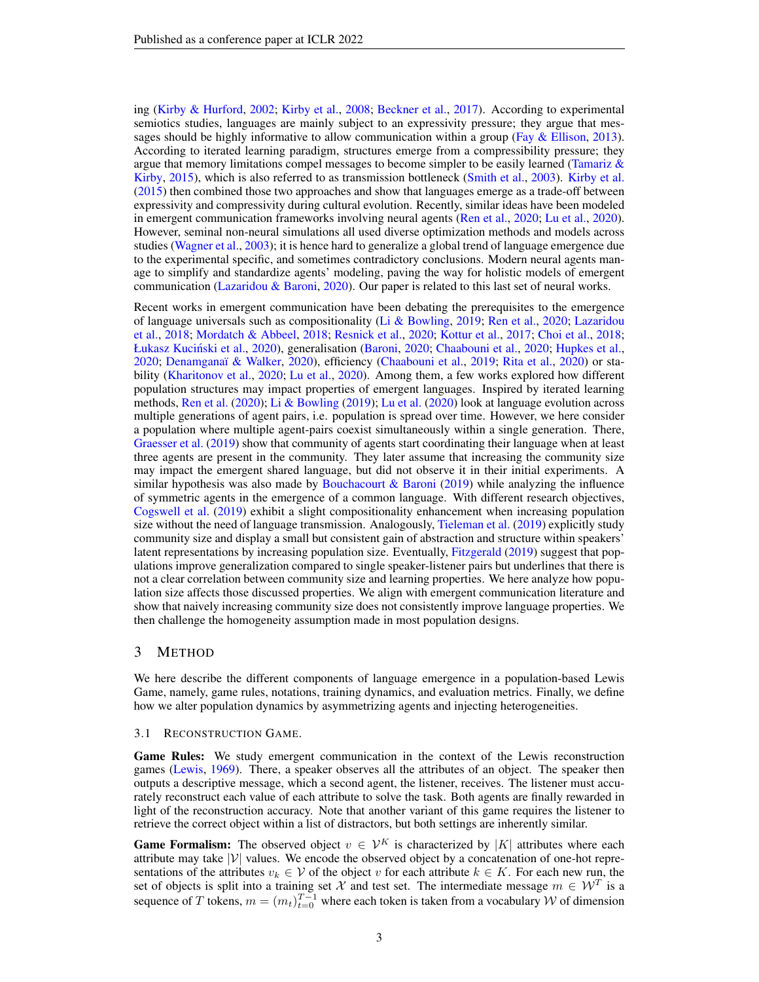ing [\(Kirby & Hurford,](#page-10-11) [2002;](#page-10-11) [Kirby et al.,](#page-10-1) [2008;](#page-10-1) [Beckner et al.,](#page-9-7) [2017\)](#page-9-7). According to experimental semiotics studies, languages are mainly subject to an expressivity pressure; they argue that messages should be highly informative to allow communication within a group (Fay  $\&$  Ellison, [2013\)](#page-9-8). According to iterated learning paradigm, structures emerge from a compressibility pressure; they argue that memory limitations compel messages to become simpler to be easily learned (Tamariz  $\&$ [Kirby,](#page-11-10) [2015\)](#page-11-10), which is also referred to as transmission bottleneck [\(Smith et al.,](#page-11-11) [2003\)](#page-11-11). [Kirby et al.](#page-10-12) [\(2015\)](#page-10-12) then combined those two approaches and show that languages emerge as a trade-off between expressivity and compressivity during cultural evolution. Recently, similar ideas have been modeled in emergent communication frameworks involving neural agents [\(Ren et al.,](#page-11-12) [2020;](#page-11-12) [Lu et al.,](#page-10-13) [2020\)](#page-10-13). However, seminal non-neural simulations all used diverse optimization methods and models across studies [\(Wagner et al.,](#page-12-0) [2003\)](#page-12-0); it is hence hard to generalize a global trend of language emergence due to the experimental specific, and sometimes contradictory conclusions. Modern neural agents manage to simplify and standardize agents' modeling, paving the way for holistic models of emergent communication [\(Lazaridou & Baroni,](#page-10-0) [2020\)](#page-10-0). Our paper is related to this last set of neural works.

Recent works in emergent communication have been debating the prerequisites to the emergence of language universals such as compositionality [\(Li & Bowling,](#page-10-14) [2019;](#page-10-14) [Ren et al.,](#page-11-12) [2020;](#page-11-12) [Lazaridou](#page-10-6) [et al.,](#page-10-6) [2018;](#page-10-6) [Mordatch & Abbeel,](#page-11-13) [2018;](#page-11-13) [Resnick et al.,](#page-11-14) [2020;](#page-11-14) [Kottur et al.,](#page-10-5) [2017;](#page-10-5) [Choi et al.,](#page-9-9) [2018;](#page-9-9) Łukasz Kuciński et al., [2020\)](#page-12-2), generalisation [\(Baroni,](#page-9-10) [2020;](#page-9-3) [Chaabouni et al.,](#page-9-3) 2020; [Hupkes et al.,](#page-10-15) [2020;](#page-10-15) Denamganaï & Walker, [2020\)](#page-11-15), efficiency [\(Chaabouni et al.,](#page-9-12) [2019;](#page-9-12) [Rita et al.,](#page-11-15) 2020) or stability [\(Kharitonov et al.,](#page-10-16) [2020;](#page-10-16) [Lu et al.,](#page-10-13) [2020\)](#page-10-13). Among them, a few works explored how different population structures may impact properties of emergent languages. Inspired by iterated learning methods, [Ren et al.](#page-11-12) [\(2020\)](#page-11-12); [Li & Bowling](#page-10-14) [\(2019\)](#page-10-14); [Lu et al.](#page-10-13) [\(2020\)](#page-10-13) look at language evolution across multiple generations of agent pairs, i.e. population is spread over time. However, we here consider a population where multiple agent-pairs coexist simultaneously within a single generation. There, [Graesser et al.](#page-10-3) [\(2019\)](#page-10-3) show that community of agents start coordinating their language when at least three agents are present in the community. They later assume that increasing the community size may impact the emergent shared language, but did not observe it in their initial experiments. A similar hypothesis was also made by Bouchacourt  $\&$  Baroni [\(2019\)](#page-9-13) while analyzing the influence of symmetric agents in the emergence of a common language. With different research objectives, [Cogswell et al.](#page-9-2) [\(2019\)](#page-9-2) exhibit a slight compositionality enhancement when increasing population size without the need of language transmission. Analogously, [Tieleman et al.](#page-11-3) [\(2019\)](#page-11-3) explicitly study community size and display a small but consistent gain of abstraction and structure within speakers' latent representations by increasing population size. Eventually, [Fitzgerald](#page-10-7) [\(2019\)](#page-10-7) suggest that populations improve generalization compared to single speaker-listener pairs but underlines that there is not a clear correlation between community size and learning properties. We here analyze how population size affects those discussed properties. We align with emergent communication literature and show that naively increasing community size does not consistently improve language properties. We then challenge the homogeneity assumption made in most population designs.

## 3 METHOD

We here describe the different components of language emergence in a population-based Lewis Game, namely, game rules, notations, training dynamics, and evaluation metrics. Finally, we define how we alter population dynamics by asymmetrizing agents and injecting heterogeneities.

#### 3.1 RECONSTRUCTION GAME.

Game Rules: We study emergent communication in the context of the Lewis reconstruction games [\(Lewis,](#page-10-4) [1969\)](#page-10-4). There, a speaker observes all the attributes of an object. The speaker then outputs a descriptive message, which a second agent, the listener, receives. The listener must accurately reconstruct each value of each attribute to solve the task. Both agents are finally rewarded in light of the reconstruction accuracy. Note that another variant of this game requires the listener to retrieve the correct object within a list of distractors, but both settings are inherently similar.

**Game Formalism:** The observed object  $v \in \mathcal{V}^K$  is characterized by |K| attributes where each attribute may take  $|V|$  values. We encode the observed object by a concatenation of one-hot representations of the attributes  $v_k \in V$  of the object v for each attribute  $k \in K$ . For each new run, the set of objects is split into a training set X and test set. The intermediate message  $m \in \mathcal{W}^T$  is a sequence of T tokens,  $m = (m_t)_{t=0}^{T-1}$  where each token is taken from a vocabulary W of dimension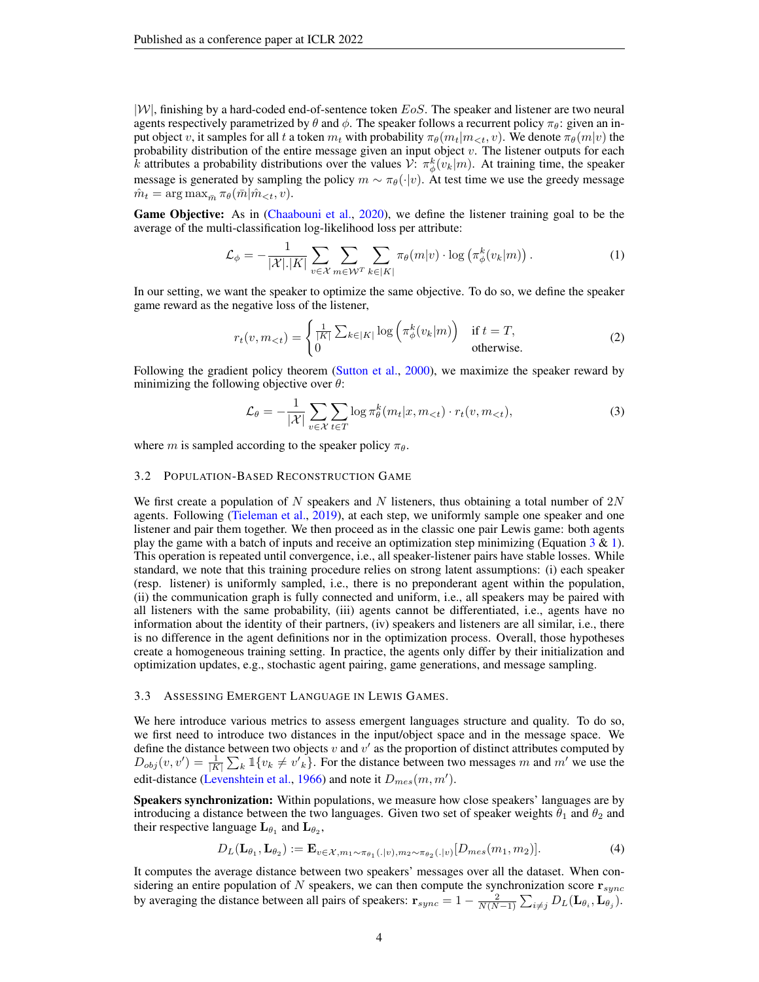$|W|$ , finishing by a hard-coded end-of-sentence token EoS. The speaker and listener are two neural agents respectively parametrized by  $\theta$  and  $\phi$ . The speaker follows a recurrent policy  $\pi_{\theta}$ : given an input object v, it samples for all t a token  $m_t$  with probability  $\pi_\theta(m_t|m_{< t}, v)$ . We denote  $\pi_\theta(m|v)$  the probability distribution of the entire message given an input object  $v$ . The listener outputs for each k attributes a probability distributions over the values  $\mathcal{V}$ :  $\pi^k_\phi(v_k|m)$ . At training time, the speaker message is generated by sampling the policy  $m \sim \pi_{\theta}(\cdot | v)$ . At test time we use the greedy message  $\hat{m}_t = \arg \max_{\bar{m}} \pi_\theta(\bar{m}|\hat{m}_{< t}, v).$ 

Game Objective: As in [\(Chaabouni et al.,](#page-9-3) [2020\)](#page-9-3), we define the listener training goal to be the average of the multi-classification log-likelihood loss per attribute:

<span id="page-3-1"></span>
$$
\mathcal{L}_{\phi} = -\frac{1}{|\mathcal{X}| |\mathcal{X}|} \sum_{v \in \mathcal{X}} \sum_{m \in \mathcal{W}^T} \sum_{k \in |K|} \pi_{\theta}(m|v) \cdot \log \left( \pi_{\phi}^k(v_k|m) \right). \tag{1}
$$

In our setting, we want the speaker to optimize the same objective. To do so, we define the speaker game reward as the negative loss of the listener,

$$
r_t(v, m_{< t}) = \begin{cases} \frac{1}{|K|} \sum_{k \in |K|} \log \left( \pi_\phi^k(v_k|m) \right) & \text{if } t = T, \\ 0 & \text{otherwise.} \end{cases} \tag{2}
$$

Following the gradient policy theorem [\(Sutton et al.,](#page-11-16) [2000\)](#page-11-16), we maximize the speaker reward by minimizing the following objective over  $\theta$ :

<span id="page-3-0"></span>
$$
\mathcal{L}_{\theta} = -\frac{1}{|\mathcal{X}|} \sum_{v \in \mathcal{X}} \sum_{t \in T} \log \pi_{\theta}^{k}(m_t | x, m_{
$$

where m is sampled according to the speaker policy  $\pi_{\theta}$ .

#### 3.2 POPULATION-BASED RECONSTRUCTION GAME

We first create a population of N speakers and N listeners, thus obtaining a total number of  $2N$ agents. Following [\(Tieleman et al.,](#page-11-3) [2019\)](#page-11-3), at each step, we uniformly sample one speaker and one listener and pair them together. We then proceed as in the classic one pair Lewis game: both agents play the game with a batch of inputs and receive an optimization step minimizing (Equation  $3 \& 1$  $3 \& 1$ ). This operation is repeated until convergence, i.e., all speaker-listener pairs have stable losses. While standard, we note that this training procedure relies on strong latent assumptions: (i) each speaker (resp. listener) is uniformly sampled, i.e., there is no preponderant agent within the population, (ii) the communication graph is fully connected and uniform, i.e., all speakers may be paired with all listeners with the same probability, (iii) agents cannot be differentiated, i.e., agents have no information about the identity of their partners, (iv) speakers and listeners are all similar, i.e., there is no difference in the agent definitions nor in the optimization process. Overall, those hypotheses create a homogeneous training setting. In practice, the agents only differ by their initialization and optimization updates, e.g., stochastic agent pairing, game generations, and message sampling.

#### 3.3 ASSESSING EMERGENT LANGUAGE IN LEWIS GAMES.

We here introduce various metrics to assess emergent languages structure and quality. To do so, we first need to introduce two distances in the input/object space and in the message space. We define the distance between two objects  $v$  and  $v'$  as the proportion of distinct attributes computed by  $D_{obj}(v, v') = \frac{1}{|K|} \sum_{k} \mathbb{1}\{v_k \neq v'_{k}\}.$  For the distance between two messages m and m' we use the edit-distance [\(Levenshtein et al.,](#page-10-17) [1966\)](#page-10-17) and note it  $D_{mes}(m, m')$ .

**Speakers synchronization:** Within populations, we measure how close speakers' languages are by introducing a distance between the two languages. Given two set of speaker weights  $\theta_1$  and  $\theta_2$  and their respective language  $\mathbf{L}_{\theta_1}$  and  $\mathbf{L}_{\theta_2}$ ,

$$
D_L(\mathbf{L}_{\theta_1}, \mathbf{L}_{\theta_2}) := \mathbf{E}_{v \in \mathcal{X}, m_1 \sim \pi_{\theta_1}(.|v), m_2 \sim \pi_{\theta_2}(.|v)} [D_{mes}(m_1, m_2)]. \tag{4}
$$

It computes the average distance between two speakers' messages over all the dataset. When considering an entire population of N speakers, we can then compute the synchronization score  $\mathbf{r}_{sync}$ by averaging the distance between all pairs of speakers:  $\mathbf{r}_{sync} = 1 - \frac{2}{N(N-1)} \sum_{i \neq j} D_L(\mathbf{L}_{\theta_i}, \mathbf{L}_{\theta_j}).$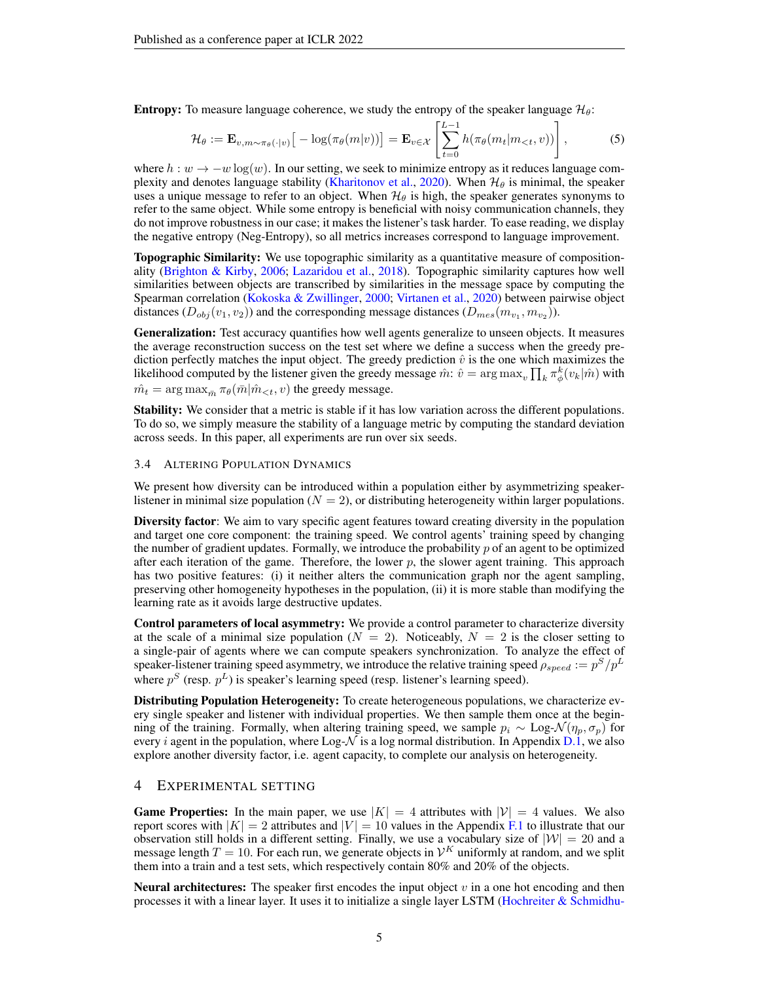**Entropy:** To measure language coherence, we study the entropy of the speaker language  $\mathcal{H}_{\theta}$ :

$$
\mathcal{H}_{\theta} := \mathbf{E}_{v,m \sim \pi_{\theta}(\cdot|v)} \big[ -\log(\pi_{\theta}(m|v)) \big] = \mathbf{E}_{v \in \mathcal{X}} \left[ \sum_{t=0}^{L-1} h(\pi_{\theta}(m_t|m_{
$$

where  $h : w \to -w \log(w)$ . In our setting, we seek to minimize entropy as it reduces language com-plexity and denotes language stability [\(Kharitonov et al.,](#page-10-16) [2020\)](#page-10-16). When  $\mathcal{H}_{\theta}$  is minimal, the speaker uses a unique message to refer to an object. When  $\mathcal{H}_{\theta}$  is high, the speaker generates synonyms to refer to the same object. While some entropy is beneficial with noisy communication channels, they do not improve robustness in our case; it makes the listener's task harder. To ease reading, we display the negative entropy (Neg-Entropy), so all metrics increases correspond to language improvement.

Topographic Similarity: We use topographic similarity as a quantitative measure of compositionality [\(Brighton & Kirby,](#page-9-14) [2006;](#page-9-14) [Lazaridou et al.,](#page-10-6) [2018\)](#page-10-6). Topographic similarity captures how well similarities between objects are transcribed by similarities in the message space by computing the Spearman correlation [\(Kokoska & Zwillinger,](#page-10-18) [2000;](#page-10-18) [Virtanen et al.,](#page-11-17) [2020\)](#page-11-17) between pairwise object distances  $(D_{obj}(v_1, v_2))$  and the corresponding message distances  $(D_{mes}(m_{v_1}, m_{v_2}))$ .

Generalization: Test accuracy quantifies how well agents generalize to unseen objects. It measures the average reconstruction success on the test set where we define a success when the greedy prediction perfectly matches the input object. The greedy prediction  $\hat{v}$  is the one which maximizes the likelihood computed by the listener given the greedy message  $\hat{m}$ :  $\hat{v} = \arg \max_{v} \prod_{k} \pi_{\phi}^{k}(v_k|\hat{m})$  with  $\hat{m_t} = \arg \max_{\bar{m}} \pi_\theta(\bar{m}|\hat{m}_{< t}, v)$  the greedy message.

Stability: We consider that a metric is stable if it has low variation across the different populations. To do so, we simply measure the stability of a language metric by computing the standard deviation across seeds. In this paper, all experiments are run over six seeds.

#### <span id="page-4-0"></span>3.4 ALTERING POPULATION DYNAMICS

We present how diversity can be introduced within a population either by asymmetrizing speakerlistener in minimal size population  $(N = 2)$ , or distributing heterogeneity within larger populations.

Diversity factor: We aim to vary specific agent features toward creating diversity in the population and target one core component: the training speed. We control agents' training speed by changing the number of gradient updates. Formally, we introduce the probability  $p$  of an agent to be optimized after each iteration of the game. Therefore, the lower  $p$ , the slower agent training. This approach has two positive features: (i) it neither alters the communication graph nor the agent sampling, preserving other homogeneity hypotheses in the population, (ii) it is more stable than modifying the learning rate as it avoids large destructive updates.

Control parameters of local asymmetry: We provide a control parameter to characterize diversity at the scale of a minimal size population ( $N = 2$ ). Noticeably,  $N = 2$  is the closer setting to a single-pair of agents where we can compute speakers synchronization. To analyze the effect of speaker-listener training speed asymmetry, we introduce the relative training speed  $\rho_{speed} := p^S/p^L$ where  $p^S$  (resp.  $p^L$ ) is speaker's learning speed (resp. listener's learning speed).

Distributing Population Heterogeneity: To create heterogeneous populations, we characterize every single speaker and listener with individual properties. We then sample them once at the beginning of the training. Formally, when altering training speed, we sample  $p_i \sim \text{Log-}\mathcal{N}(\eta_p, \sigma_p)$  for every *i* agent in the population, where Log- $\mathcal N$  is a log normal distribution. In Appendix [D.1,](#page-14-0) we also explore another diversity factor, i.e. agent capacity, to complete our analysis on heterogeneity.

# 4 EXPERIMENTAL SETTING

**Game Properties:** In the main paper, we use  $|K| = 4$  attributes with  $|V| = 4$  values. We also report scores with  $|K| = 2$  attributes and  $|V| = 10$  values in the Appendix [F.1](#page-16-0) to illustrate that our observation still holds in a different setting. Finally, we use a vocabulary size of  $|W| = 20$  and a message length  $T = 10$ . For each run, we generate objects in  $\mathcal{V}^K$  uniformly at random, and we split them into a train and a test sets, which respectively contain 80% and 20% of the objects.

**Neural architectures:** The speaker first encodes the input object  $v$  in a one hot encoding and then processes it with a linear layer. It uses it to initialize a single layer LSTM [\(Hochreiter & Schmidhu-](#page-10-19)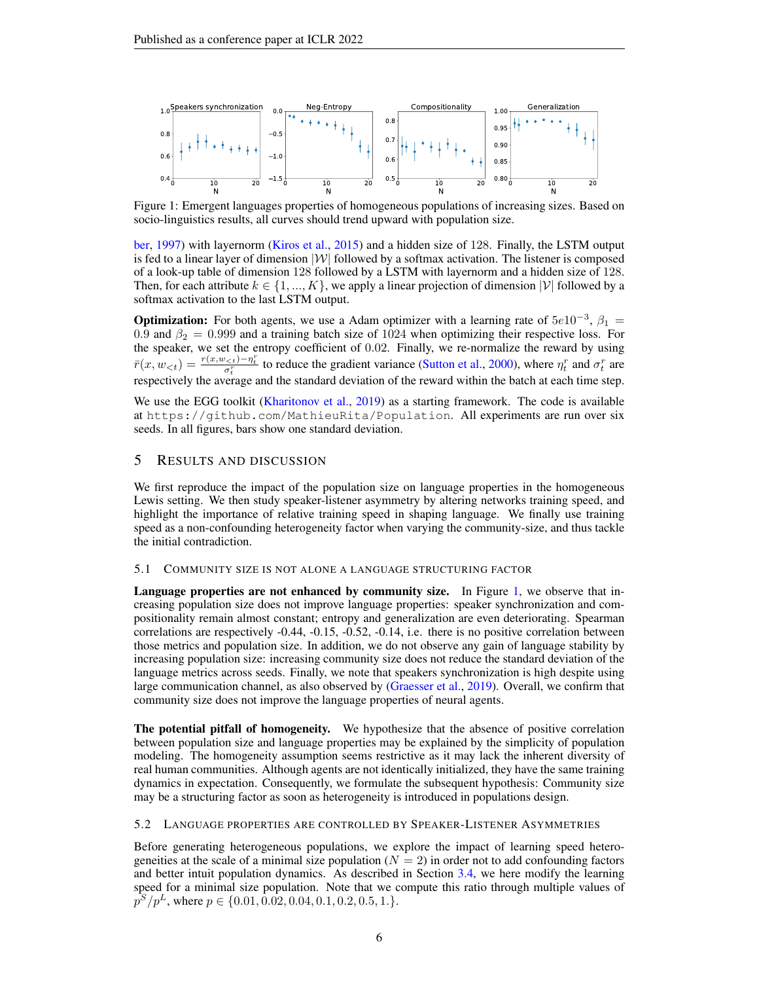

<span id="page-5-0"></span>Figure 1: Emergent languages properties of homogeneous populations of increasing sizes. Based on socio-linguistics results, all curves should trend upward with population size.

[ber,](#page-10-19) [1997\)](#page-10-19) with layernorm [\(Kiros et al.,](#page-10-20) [2015\)](#page-10-20) and a hidden size of 128. Finally, the LSTM output is fed to a linear layer of dimension  $|W|$  followed by a softmax activation. The listener is composed of a look-up table of dimension 128 followed by a LSTM with layernorm and a hidden size of 128. Then, for each attribute  $k \in \{1, ..., K\}$ , we apply a linear projection of dimension  $|V|$  followed by a softmax activation to the last LSTM output.

**Optimization:** For both agents, we use a Adam optimizer with a learning rate of  $5e10^{-3}$ ,  $\beta_1 =$ 0.9 and  $\beta_2 = 0.999$  and a training batch size of 1024 when optimizing their respective loss. For the speaker, we set the entropy coefficient of 0.02. Finally, we re-normalize the reward by using  $\bar{r}(x, w_{\leq t}) = \frac{r(x, w_{\leq t}) - \eta_t^r}{\sigma_t^r}$  to reduce the gradient variance [\(Sutton et al.,](#page-11-16) [2000\)](#page-11-16), where  $\eta_t^r$  and  $\sigma_t^r$  are respectively the average and the standard deviation of the reward within the batch at each time step.

We use the EGG toolkit [\(Kharitonov et al.,](#page-10-21) [2019\)](#page-10-21) as a starting framework. The code is available at https://github.com/MathieuRita/Population. All experiments are run over six seeds. In all figures, bars show one standard deviation.

## 5 RESULTS AND DISCUSSION

We first reproduce the impact of the population size on language properties in the homogeneous Lewis setting. We then study speaker-listener asymmetry by altering networks training speed, and highlight the importance of relative training speed in shaping language. We finally use training speed as a non-confounding heterogeneity factor when varying the community-size, and thus tackle the initial contradiction.

#### 5.1 COMMUNITY SIZE IS NOT ALONE A LANGUAGE STRUCTURING FACTOR

Language properties are not enhanced by community size. In Figure [1,](#page-5-0) we observe that increasing population size does not improve language properties: speaker synchronization and compositionality remain almost constant; entropy and generalization are even deteriorating. Spearman correlations are respectively -0.44, -0.15, -0.52, -0.14, i.e. there is no positive correlation between those metrics and population size. In addition, we do not observe any gain of language stability by increasing population size: increasing community size does not reduce the standard deviation of the language metrics across seeds. Finally, we note that speakers synchronization is high despite using large communication channel, as also observed by [\(Graesser et al.,](#page-10-3) [2019\)](#page-10-3). Overall, we confirm that community size does not improve the language properties of neural agents.

The potential pitfall of homogeneity. We hypothesize that the absence of positive correlation between population size and language properties may be explained by the simplicity of population modeling. The homogeneity assumption seems restrictive as it may lack the inherent diversity of real human communities. Although agents are not identically initialized, they have the same training dynamics in expectation. Consequently, we formulate the subsequent hypothesis: Community size may be a structuring factor as soon as heterogeneity is introduced in populations design.

### <span id="page-5-1"></span>5.2 LANGUAGE PROPERTIES ARE CONTROLLED BY SPEAKER-LISTENER ASYMMETRIES

Before generating heterogeneous populations, we explore the impact of learning speed heterogeneities at the scale of a minimal size population  $(N = 2)$  in order not to add confounding factors and better intuit population dynamics. As described in Section [3.4,](#page-4-0) we here modify the learning speed for a minimal size population. Note that we compute this ratio through multiple values of  $p^{S}/p^{L}$ , where  $p \in \{0.01, 0.02, 0.04, 0.1, 0.2, 0.5, 1.\}.$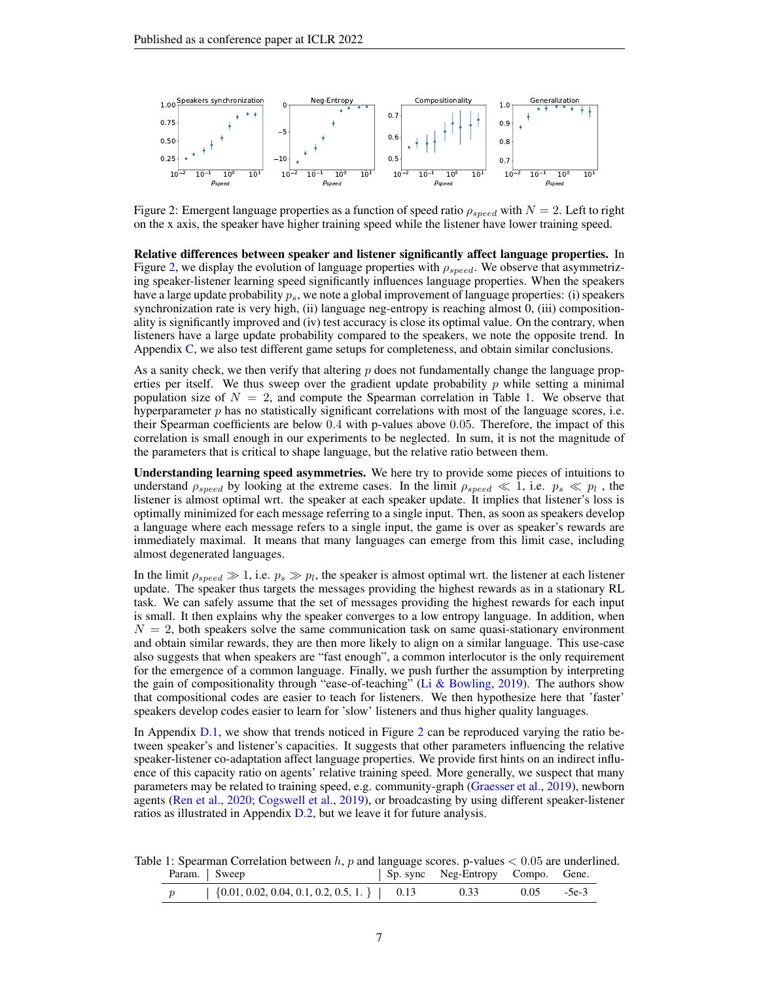

<span id="page-6-0"></span>Figure 2: Emergent language properties as a function of speed ratio  $\rho_{speed}$  with  $N = 2$ . Left to right on the x axis, the speaker have higher training speed while the listener have lower training speed.

Relative differences between speaker and listener significantly affect language properties. In Figure [2,](#page-6-0) we display the evolution of language properties with  $\rho_{speed}$ . We observe that asymmetrizing speaker-listener learning speed significantly influences language properties. When the speakers have a large update probability  $p<sub>s</sub>$ , we note a global improvement of language properties: (i) speakers synchronization rate is very high, (ii) language neg-entropy is reaching almost 0, (iii) compositionality is significantly improved and (iv) test accuracy is close its optimal value. On the contrary, when listeners have a large update probability compared to the speakers, we note the opposite trend. In Appendix [C,](#page-13-0) we also test different game setups for completeness, and obtain similar conclusions.

As a sanity check, we then verify that altering p does not fundamentally change the language properties per itself. We thus sweep over the gradient update probability  $p$  while setting a minimal population size of  $N = 2$ , and compute the Spearman correlation in Table [1.](#page-6-1) We observe that hyperparameter  $p$  has no statistically significant correlations with most of the language scores, i.e. their Spearman coefficients are below 0.4 with p-values above 0.05. Therefore, the impact of this correlation is small enough in our experiments to be neglected. In sum, it is not the magnitude of the parameters that is critical to shape language, but the relative ratio between them.

Understanding learning speed asymmetries. We here try to provide some pieces of intuitions to understand  $\rho_{speed}$  by looking at the extreme cases. In the limit  $\rho_{speed} \ll 1$ , i.e.  $p_s \ll p_l$ , the listener is almost optimal wrt. the speaker at each speaker update. It implies that listener's loss is optimally minimized for each message referring to a single input. Then, as soon as speakers develop a language where each message refers to a single input, the game is over as speaker's rewards are immediately maximal. It means that many languages can emerge from this limit case, including almost degenerated languages.

In the limit  $\rho_{speed} \gg 1$ , i.e.  $p_s \gg p_l$ , the speaker is almost optimal wrt. the listener at each listener update. The speaker thus targets the messages providing the highest rewards as in a stationary RL task. We can safely assume that the set of messages providing the highest rewards for each input is small. It then explains why the speaker converges to a low entropy language. In addition, when  $N = 2$ , both speakers solve the same communication task on same quasi-stationary environment and obtain similar rewards, they are then more likely to align on a similar language. This use-case also suggests that when speakers are "fast enough", a common interlocutor is the only requirement for the emergence of a common language. Finally, we push further the assumption by interpreting the gain of compositionality through "ease-of-teaching" [\(Li & Bowling,](#page-10-14) [2019\)](#page-10-14). The authors show that compositional codes are easier to teach for listeners. We then hypothesize here that 'faster' speakers develop codes easier to learn for 'slow' listeners and thus higher quality languages.

In Appendix [D.1,](#page-14-0) we show that trends noticed in Figure [2](#page-6-0) can be reproduced varying the ratio between speaker's and listener's capacities. It suggests that other parameters influencing the relative speaker-listener co-adaptation affect language properties. We provide first hints on an indirect influence of this capacity ratio on agents' relative training speed. More generally, we suspect that many parameters may be related to training speed, e.g. community-graph [\(Graesser et al.,](#page-10-3) [2019\)](#page-10-3), newborn agents [\(Ren et al.,](#page-11-12) [2020;](#page-11-12) [Cogswell et al.,](#page-9-2) [2019\)](#page-9-2), or broadcasting by using different speaker-listener ratios as illustrated in Appendix [D.2,](#page-15-0) but we leave it for future analysis.

Table 1: Spearman Correlation between  $h$ , p and language scores. p-values  $< 0.05$  are underlined. Param. Sweep Sp. sync Neg-Entropy Compo. Gene.

<span id="page-6-1"></span>

| $\{0.01, 0.02, 0.04, 0.1, 0.2, 0.5, 1.\}$ 0.13 |  | 0.05 |  |
|------------------------------------------------|--|------|--|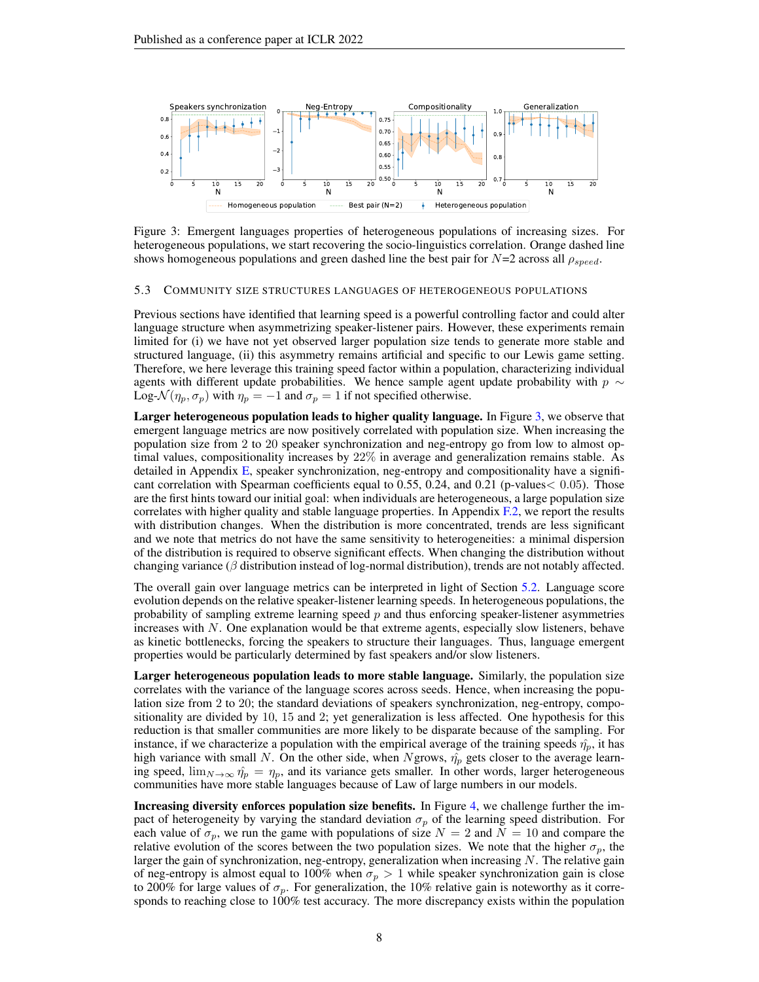

<span id="page-7-0"></span>Figure 3: Emergent languages properties of heterogeneous populations of increasing sizes. For heterogeneous populations, we start recovering the socio-linguistics correlation. Orange dashed line shows homogeneous populations and green dashed line the best pair for  $N=2$  across all  $\rho_{speed}$ .

#### 5.3 COMMUNITY SIZE STRUCTURES LANGUAGES OF HETEROGENEOUS POPULATIONS

Previous sections have identified that learning speed is a powerful controlling factor and could alter language structure when asymmetrizing speaker-listener pairs. However, these experiments remain limited for (i) we have not yet observed larger population size tends to generate more stable and structured language, (ii) this asymmetry remains artificial and specific to our Lewis game setting. Therefore, we here leverage this training speed factor within a population, characterizing individual agents with different update probabilities. We hence sample agent update probability with  $p \sim$ Log- $\mathcal{N}(\eta_p, \sigma_p)$  with  $\eta_p = -1$  and  $\sigma_p = 1$  if not specified otherwise.

Larger heterogeneous population leads to higher quality language. In Figure [3,](#page-7-0) we observe that emergent language metrics are now positively correlated with population size. When increasing the population size from 2 to 20 speaker synchronization and neg-entropy go from low to almost optimal values, compositionality increases by 22% in average and generalization remains stable. As detailed in Appendix [E,](#page-16-1) speaker synchronization, neg-entropy and compositionality have a significant correlation with Spearman coefficients equal to 0.55, 0.24, and 0.21 (p-values< 0.05). Those are the first hints toward our initial goal: when individuals are heterogeneous, a large population size correlates with higher quality and stable language properties. In Appendix [F.2,](#page-16-2) we report the results with distribution changes. When the distribution is more concentrated, trends are less significant and we note that metrics do not have the same sensitivity to heterogeneities: a minimal dispersion of the distribution is required to observe significant effects. When changing the distribution without changing variance ( $\beta$  distribution instead of log-normal distribution), trends are not notably affected.

The overall gain over language metrics can be interpreted in light of Section [5.2.](#page-5-1) Language score evolution depends on the relative speaker-listener learning speeds. In heterogeneous populations, the probability of sampling extreme learning speed  $p$  and thus enforcing speaker-listener asymmetries increases with  $N$ . One explanation would be that extreme agents, especially slow listeners, behave as kinetic bottlenecks, forcing the speakers to structure their languages. Thus, language emergent properties would be particularly determined by fast speakers and/or slow listeners.

Larger heterogeneous population leads to more stable language. Similarly, the population size correlates with the variance of the language scores across seeds. Hence, when increasing the population size from 2 to 20; the standard deviations of speakers synchronization, neg-entropy, compositionality are divided by 10, 15 and 2; yet generalization is less affected. One hypothesis for this reduction is that smaller communities are more likely to be disparate because of the sampling. For instance, if we characterize a population with the empirical average of the training speeds  $\hat{\eta}_p$ , it has high variance with small N. On the other side, when Ngrows,  $\hat{\eta}_p$  gets closer to the average learning speed,  $\lim_{N\to\infty} \hat{\eta}_p = \eta_p$ , and its variance gets smaller. In other words, larger heterogeneous communities have more stable languages because of Law of large numbers in our models.

Increasing diversity enforces population size benefits. In Figure [4,](#page-8-0) we challenge further the impact of heterogeneity by varying the standard deviation  $\sigma_p$  of the learning speed distribution. For each value of  $\sigma_p$ , we run the game with populations of size  $N = 2$  and  $N = 10$  and compare the relative evolution of the scores between the two population sizes. We note that the higher  $\sigma_p$ , the larger the gain of synchronization, neg-entropy, generalization when increasing  $N$ . The relative gain of neg-entropy is almost equal to 100% when  $\sigma_p > 1$  while speaker synchronization gain is close to 200% for large values of  $\sigma_p$ . For generalization, the 10% relative gain is noteworthy as it corresponds to reaching close to 100% test accuracy. The more discrepancy exists within the population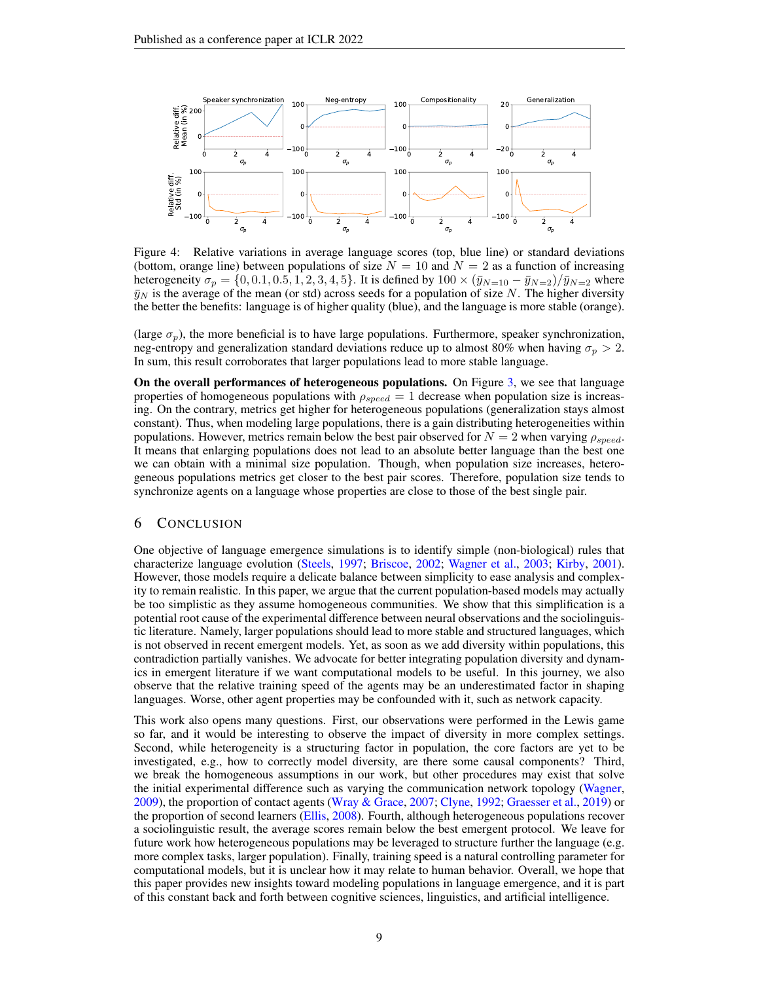

<span id="page-8-0"></span>Figure 4: Relative variations in average language scores (top, blue line) or standard deviations (bottom, orange line) between populations of size  $N = 10$  and  $N = 2$  as a function of increasing heterogeneity  $\sigma_p = \{0, 0.1, 0.5, 1, 2, 3, 4, 5\}$ . It is defined by  $100 \times (\bar{y}_{N=10} - \bar{y}_{N=2})/\bar{y}_{N=2}$  where  $\bar{y}_N$  is the average of the mean (or std) across seeds for a population of size N. The higher diversity the better the benefits: language is of higher quality (blue), and the language is more stable (orange).

(large  $\sigma_p$ ), the more beneficial is to have large populations. Furthermore, speaker synchronization, neg-entropy and generalization standard deviations reduce up to almost 80% when having  $\sigma_p > 2$ . In sum, this result corroborates that larger populations lead to more stable language.

On the overall performances of heterogeneous populations. On Figure [3,](#page-7-0) we see that language properties of homogeneous populations with  $\rho_{speed} = 1$  decrease when population size is increasing. On the contrary, metrics get higher for heterogeneous populations (generalization stays almost constant). Thus, when modeling large populations, there is a gain distributing heterogeneities within populations. However, metrics remain below the best pair observed for  $N = 2$  when varying  $\rho_{speed}$ . It means that enlarging populations does not lead to an absolute better language than the best one we can obtain with a minimal size population. Though, when population size increases, heterogeneous populations metrics get closer to the best pair scores. Therefore, population size tends to synchronize agents on a language whose properties are close to those of the best single pair.

## 6 CONCLUSION

One objective of language emergence simulations is to identify simple (non-biological) rules that characterize language evolution [\(Steels,](#page-11-0) [1997;](#page-11-0) [Briscoe,](#page-9-0) [2002;](#page-9-0) [Wagner et al.,](#page-12-0) [2003;](#page-12-0) [Kirby,](#page-10-22) [2001\)](#page-10-22). However, those models require a delicate balance between simplicity to ease analysis and complexity to remain realistic. In this paper, we argue that the current population-based models may actually be too simplistic as they assume homogeneous communities. We show that this simplification is a potential root cause of the experimental difference between neural observations and the sociolinguistic literature. Namely, larger populations should lead to more stable and structured languages, which is not observed in recent emergent models. Yet, as soon as we add diversity within populations, this contradiction partially vanishes. We advocate for better integrating population diversity and dynamics in emergent literature if we want computational models to be useful. In this journey, we also observe that the relative training speed of the agents may be an underestimated factor in shaping languages. Worse, other agent properties may be confounded with it, such as network capacity.

This work also opens many questions. First, our observations were performed in the Lewis game so far, and it would be interesting to observe the impact of diversity in more complex settings. Second, while heterogeneity is a structuring factor in population, the core factors are yet to be investigated, e.g., how to correctly model diversity, are there some causal components? Third, we break the homogeneous assumptions in our work, but other procedures may exist that solve the initial experimental difference such as varying the communication network topology [\(Wagner,](#page-11-18) [2009\)](#page-11-18), the proportion of contact agents [\(Wray & Grace,](#page-12-3) [2007;](#page-12-3) [Clyne,](#page-9-15) [1992;](#page-9-15) [Graesser et al.,](#page-10-3) [2019\)](#page-10-3) or the proportion of second learners [\(Ellis,](#page-9-16) [2008\)](#page-9-16). Fourth, although heterogeneous populations recover a sociolinguistic result, the average scores remain below the best emergent protocol. We leave for future work how heterogeneous populations may be leveraged to structure further the language (e.g. more complex tasks, larger population). Finally, training speed is a natural controlling parameter for computational models, but it is unclear how it may relate to human behavior. Overall, we hope that this paper provides new insights toward modeling populations in language emergence, and it is part of this constant back and forth between cognitive sciences, linguistics, and artificial intelligence.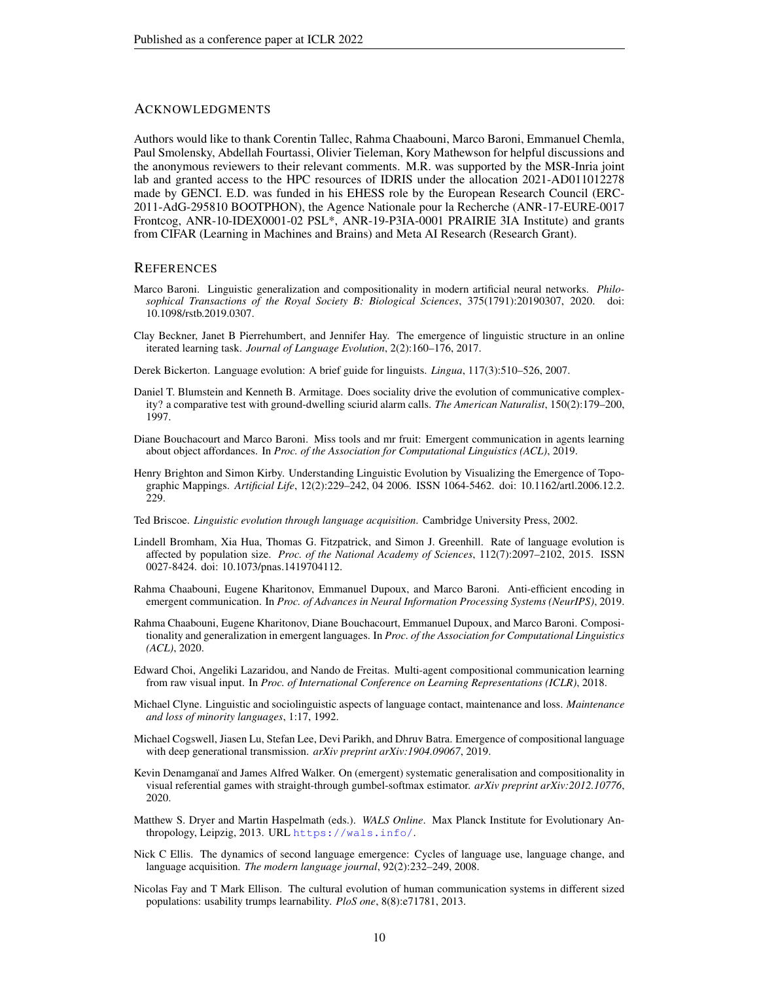## **ACKNOWLEDGMENTS**

Authors would like to thank Corentin Tallec, Rahma Chaabouni, Marco Baroni, Emmanuel Chemla, Paul Smolensky, Abdellah Fourtassi, Olivier Tieleman, Kory Mathewson for helpful discussions and the anonymous reviewers to their relevant comments. M.R. was supported by the MSR-Inria joint lab and granted access to the HPC resources of IDRIS under the allocation 2021-AD011012278 made by GENCI. E.D. was funded in his EHESS role by the European Research Council (ERC-2011-AdG-295810 BOOTPHON), the Agence Nationale pour la Recherche (ANR-17-EURE-0017 Frontcog, ANR-10-IDEX0001-02 PSL\*, ANR-19-P3IA-0001 PRAIRIE 3IA Institute) and grants from CIFAR (Learning in Machines and Brains) and Meta AI Research (Research Grant).

#### **REFERENCES**

- <span id="page-9-10"></span>Marco Baroni. Linguistic generalization and compositionality in modern artificial neural networks. *Philosophical Transactions of the Royal Society B: Biological Sciences*, 375(1791):20190307, 2020. doi: 10.1098/rstb.2019.0307.
- <span id="page-9-7"></span>Clay Beckner, Janet B Pierrehumbert, and Jennifer Hay. The emergence of linguistic structure in an online iterated learning task. *Journal of Language Evolution*, 2(2):160–176, 2017.
- <span id="page-9-1"></span>Derek Bickerton. Language evolution: A brief guide for linguists. *Lingua*, 117(3):510–526, 2007.
- <span id="page-9-5"></span>Daniel T. Blumstein and Kenneth B. Armitage. Does sociality drive the evolution of communicative complexity? a comparative test with ground-dwelling sciurid alarm calls. *The American Naturalist*, 150(2):179–200, 1997.
- <span id="page-9-13"></span>Diane Bouchacourt and Marco Baroni. Miss tools and mr fruit: Emergent communication in agents learning about object affordances. In *Proc. of the Association for Computational Linguistics (ACL)*, 2019.
- <span id="page-9-14"></span>Henry Brighton and Simon Kirby. Understanding Linguistic Evolution by Visualizing the Emergence of Topographic Mappings. *Artificial Life*, 12(2):229–242, 04 2006. ISSN 1064-5462. doi: 10.1162/artl.2006.12.2. 229.
- <span id="page-9-0"></span>Ted Briscoe. *Linguistic evolution through language acquisition*. Cambridge University Press, 2002.
- <span id="page-9-4"></span>Lindell Bromham, Xia Hua, Thomas G. Fitzpatrick, and Simon J. Greenhill. Rate of language evolution is affected by population size. *Proc. of the National Academy of Sciences*, 112(7):2097–2102, 2015. ISSN 0027-8424. doi: 10.1073/pnas.1419704112.
- <span id="page-9-12"></span>Rahma Chaabouni, Eugene Kharitonov, Emmanuel Dupoux, and Marco Baroni. Anti-efficient encoding in emergent communication. In *Proc. of Advances in Neural Information Processing Systems (NeurIPS)*, 2019.
- <span id="page-9-3"></span>Rahma Chaabouni, Eugene Kharitonov, Diane Bouchacourt, Emmanuel Dupoux, and Marco Baroni. Compositionality and generalization in emergent languages. In *Proc. of the Association for Computational Linguistics (ACL)*, 2020.
- <span id="page-9-9"></span>Edward Choi, Angeliki Lazaridou, and Nando de Freitas. Multi-agent compositional communication learning from raw visual input. In *Proc. of International Conference on Learning Representations (ICLR)*, 2018.
- <span id="page-9-15"></span>Michael Clyne. Linguistic and sociolinguistic aspects of language contact, maintenance and loss. *Maintenance and loss of minority languages*, 1:17, 1992.
- <span id="page-9-2"></span>Michael Cogswell, Jiasen Lu, Stefan Lee, Devi Parikh, and Dhruv Batra. Emergence of compositional language with deep generational transmission. *arXiv preprint arXiv:1904.09067*, 2019.
- <span id="page-9-11"></span>Kevin Denamganaï and James Alfred Walker. On (emergent) systematic generalisation and compositionality in visual referential games with straight-through gumbel-softmax estimator. *arXiv preprint arXiv:2012.10776*, 2020.
- <span id="page-9-6"></span>Matthew S. Dryer and Martin Haspelmath (eds.). *WALS Online*. Max Planck Institute for Evolutionary Anthropology, Leipzig, 2013. URL <https://wals.info/>.
- <span id="page-9-16"></span>Nick C Ellis. The dynamics of second language emergence: Cycles of language use, language change, and language acquisition. *The modern language journal*, 92(2):232–249, 2008.
- <span id="page-9-8"></span>Nicolas Fay and T Mark Ellison. The cultural evolution of human communication systems in different sized populations: usability trumps learnability. *PloS one*, 8(8):e71781, 2013.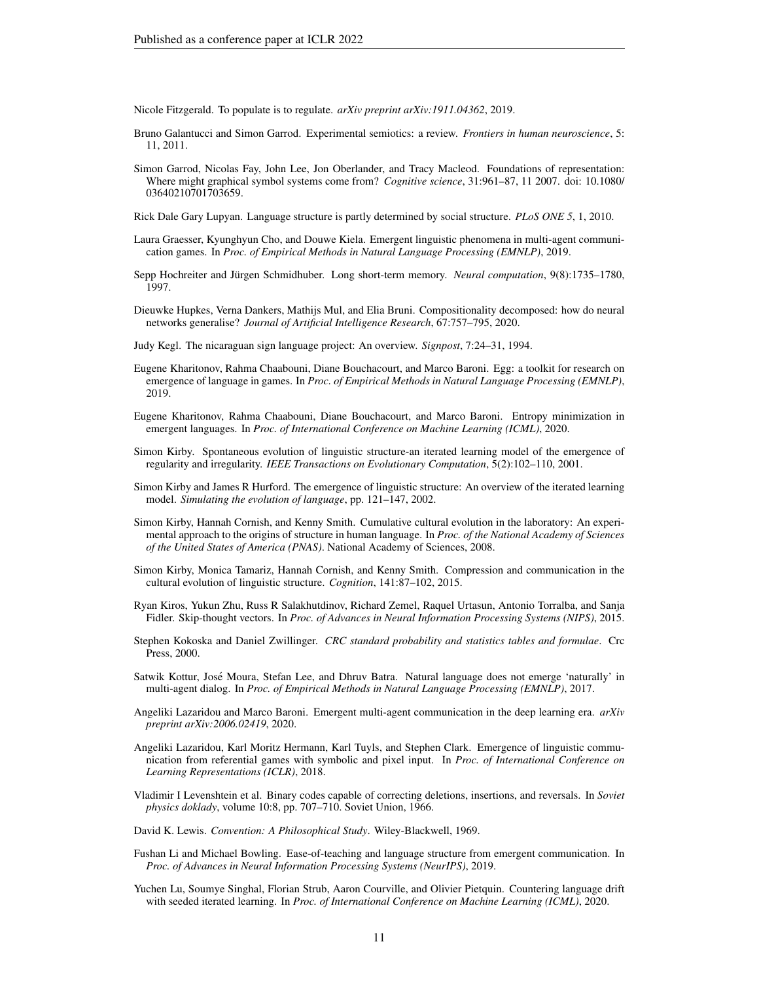<span id="page-10-7"></span>Nicole Fitzgerald. To populate is to regulate. *arXiv preprint arXiv:1911.04362*, 2019.

- <span id="page-10-9"></span>Bruno Galantucci and Simon Garrod. Experimental semiotics: a review. *Frontiers in human neuroscience*, 5: 11, 2011.
- <span id="page-10-10"></span>Simon Garrod, Nicolas Fay, John Lee, Jon Oberlander, and Tracy Macleod. Foundations of representation: Where might graphical symbol systems come from? *Cognitive science*, 31:961–87, 11 2007. doi: 10.1080/ 03640210701703659.
- <span id="page-10-2"></span>Rick Dale Gary Lupyan. Language structure is partly determined by social structure. *PLoS ONE 5*, 1, 2010.
- <span id="page-10-3"></span>Laura Graesser, Kyunghyun Cho, and Douwe Kiela. Emergent linguistic phenomena in multi-agent communication games. In *Proc. of Empirical Methods in Natural Language Processing (EMNLP)*, 2019.
- <span id="page-10-19"></span>Sepp Hochreiter and Jürgen Schmidhuber. Long short-term memory. *Neural computation*, 9(8):1735–1780, 1997.
- <span id="page-10-15"></span>Dieuwke Hupkes, Verna Dankers, Mathijs Mul, and Elia Bruni. Compositionality decomposed: how do neural networks generalise? *Journal of Artificial Intelligence Research*, 67:757–795, 2020.
- <span id="page-10-8"></span>Judy Kegl. The nicaraguan sign language project: An overview. *Signpost*, 7:24–31, 1994.
- <span id="page-10-21"></span>Eugene Kharitonov, Rahma Chaabouni, Diane Bouchacourt, and Marco Baroni. Egg: a toolkit for research on emergence of language in games. In *Proc. of Empirical Methods in Natural Language Processing (EMNLP)*, 2019.
- <span id="page-10-16"></span>Eugene Kharitonov, Rahma Chaabouni, Diane Bouchacourt, and Marco Baroni. Entropy minimization in emergent languages. In *Proc. of International Conference on Machine Learning (ICML)*, 2020.
- <span id="page-10-22"></span>Simon Kirby. Spontaneous evolution of linguistic structure-an iterated learning model of the emergence of regularity and irregularity. *IEEE Transactions on Evolutionary Computation*, 5(2):102–110, 2001.
- <span id="page-10-11"></span>Simon Kirby and James R Hurford. The emergence of linguistic structure: An overview of the iterated learning model. *Simulating the evolution of language*, pp. 121–147, 2002.
- <span id="page-10-1"></span>Simon Kirby, Hannah Cornish, and Kenny Smith. Cumulative cultural evolution in the laboratory: An experimental approach to the origins of structure in human language. In *Proc. of the National Academy of Sciences of the United States of America (PNAS)*. National Academy of Sciences, 2008.
- <span id="page-10-12"></span>Simon Kirby, Monica Tamariz, Hannah Cornish, and Kenny Smith. Compression and communication in the cultural evolution of linguistic structure. *Cognition*, 141:87–102, 2015.
- <span id="page-10-20"></span>Ryan Kiros, Yukun Zhu, Russ R Salakhutdinov, Richard Zemel, Raquel Urtasun, Antonio Torralba, and Sanja Fidler. Skip-thought vectors. In *Proc. of Advances in Neural Information Processing Systems (NIPS)*, 2015.
- <span id="page-10-18"></span>Stephen Kokoska and Daniel Zwillinger. *CRC standard probability and statistics tables and formulae*. Crc Press, 2000.
- <span id="page-10-5"></span>Satwik Kottur, Jose Moura, Stefan Lee, and Dhruv Batra. Natural language does not emerge 'naturally' in ´ multi-agent dialog. In *Proc. of Empirical Methods in Natural Language Processing (EMNLP)*, 2017.
- <span id="page-10-0"></span>Angeliki Lazaridou and Marco Baroni. Emergent multi-agent communication in the deep learning era. *arXiv preprint arXiv:2006.02419*, 2020.
- <span id="page-10-6"></span>Angeliki Lazaridou, Karl Moritz Hermann, Karl Tuyls, and Stephen Clark. Emergence of linguistic communication from referential games with symbolic and pixel input. In *Proc. of International Conference on Learning Representations (ICLR)*, 2018.
- <span id="page-10-17"></span>Vladimir I Levenshtein et al. Binary codes capable of correcting deletions, insertions, and reversals. In *Soviet physics doklady*, volume 10:8, pp. 707–710. Soviet Union, 1966.
- <span id="page-10-4"></span>David K. Lewis. *Convention: A Philosophical Study*. Wiley-Blackwell, 1969.
- <span id="page-10-14"></span>Fushan Li and Michael Bowling. Ease-of-teaching and language structure from emergent communication. In *Proc. of Advances in Neural Information Processing Systems (NeurIPS)*, 2019.
- <span id="page-10-13"></span>Yuchen Lu, Soumye Singhal, Florian Strub, Aaron Courville, and Olivier Pietquin. Countering language drift with seeded iterated learning. In *Proc. of International Conference on Machine Learning (ICML)*, 2020.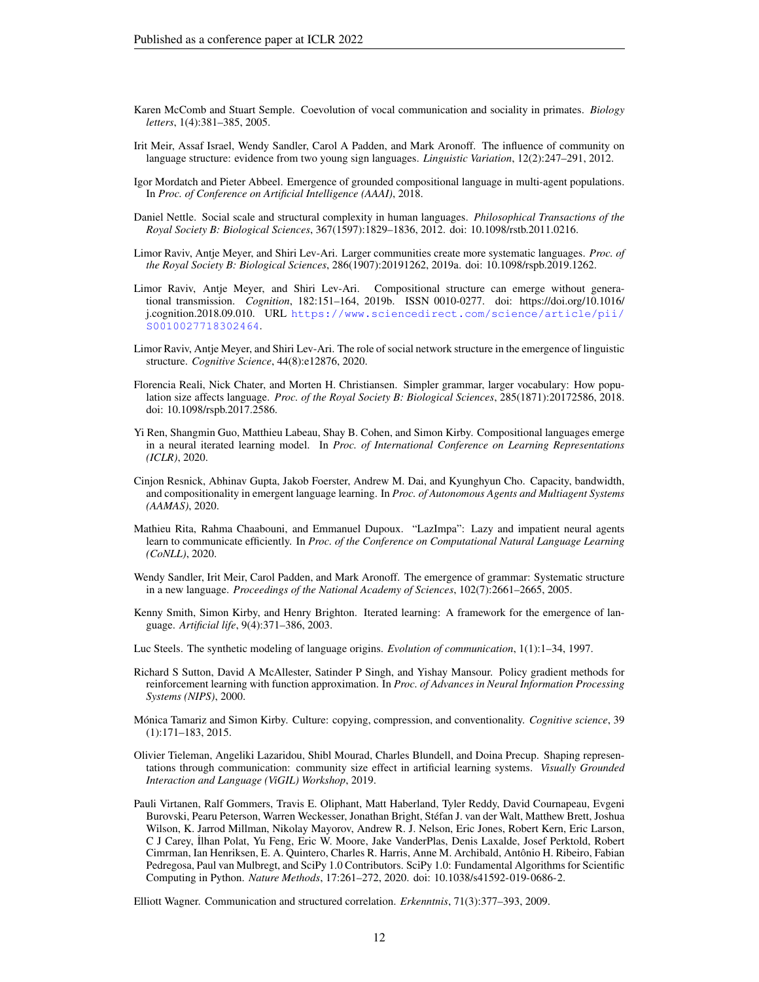- <span id="page-11-6"></span>Karen McComb and Stuart Semple. Coevolution of vocal communication and sociality in primates. *Biology letters*, 1(4):381–385, 2005.
- <span id="page-11-7"></span>Irit Meir, Assaf Israel, Wendy Sandler, Carol A Padden, and Mark Aronoff. The influence of community on language structure: evidence from two young sign languages. *Linguistic Variation*, 12(2):247–291, 2012.
- <span id="page-11-13"></span>Igor Mordatch and Pieter Abbeel. Emergence of grounded compositional language in multi-agent populations. In *Proc. of Conference on Artificial Intelligence (AAAI)*, 2018.
- <span id="page-11-4"></span>Daniel Nettle. Social scale and structural complexity in human languages. *Philosophical Transactions of the Royal Society B: Biological Sciences*, 367(1597):1829–1836, 2012. doi: 10.1098/rstb.2011.0216.
- <span id="page-11-1"></span>Limor Raviv, Antje Meyer, and Shiri Lev-Ari. Larger communities create more systematic languages. *Proc. of the Royal Society B: Biological Sciences*, 286(1907):20191262, 2019a. doi: 10.1098/rspb.2019.1262.
- <span id="page-11-8"></span>Limor Raviv, Antje Meyer, and Shiri Lev-Ari. Compositional structure can emerge without generational transmission. *Cognition*, 182:151–164, 2019b. ISSN 0010-0277. doi: https://doi.org/10.1016/ j.cognition.2018.09.010. URL [https://www.sciencedirect.com/science/article/pii/](https://www.sciencedirect.com/science/article/pii/S0010027718302464) [S0010027718302464](https://www.sciencedirect.com/science/article/pii/S0010027718302464).
- <span id="page-11-2"></span>Limor Raviv, Antje Meyer, and Shiri Lev-Ari. The role of social network structure in the emergence of linguistic structure. *Cognitive Science*, 44(8):e12876, 2020.
- <span id="page-11-5"></span>Florencia Reali, Nick Chater, and Morten H. Christiansen. Simpler grammar, larger vocabulary: How population size affects language. *Proc. of the Royal Society B: Biological Sciences*, 285(1871):20172586, 2018. doi: 10.1098/rspb.2017.2586.
- <span id="page-11-12"></span>Yi Ren, Shangmin Guo, Matthieu Labeau, Shay B. Cohen, and Simon Kirby. Compositional languages emerge in a neural iterated learning model. In *Proc. of International Conference on Learning Representations (ICLR)*, 2020.
- <span id="page-11-14"></span>Cinjon Resnick, Abhinav Gupta, Jakob Foerster, Andrew M. Dai, and Kyunghyun Cho. Capacity, bandwidth, and compositionality in emergent language learning. In *Proc. of Autonomous Agents and Multiagent Systems (AAMAS)*, 2020.
- <span id="page-11-15"></span>Mathieu Rita, Rahma Chaabouni, and Emmanuel Dupoux. "LazImpa": Lazy and impatient neural agents learn to communicate efficiently. In *Proc. of the Conference on Computational Natural Language Learning (CoNLL)*, 2020.
- <span id="page-11-9"></span>Wendy Sandler, Irit Meir, Carol Padden, and Mark Aronoff. The emergence of grammar: Systematic structure in a new language. *Proceedings of the National Academy of Sciences*, 102(7):2661–2665, 2005.
- <span id="page-11-11"></span>Kenny Smith, Simon Kirby, and Henry Brighton. Iterated learning: A framework for the emergence of language. *Artificial life*, 9(4):371–386, 2003.
- <span id="page-11-0"></span>Luc Steels. The synthetic modeling of language origins. *Evolution of communication*, 1(1):1–34, 1997.
- <span id="page-11-16"></span>Richard S Sutton, David A McAllester, Satinder P Singh, and Yishay Mansour. Policy gradient methods for reinforcement learning with function approximation. In *Proc. of Advances in Neural Information Processing Systems (NIPS)*, 2000.
- <span id="page-11-10"></span>Mónica Tamariz and Simon Kirby. Culture: copying, compression, and conventionality. *Cognitive science*, 39 (1):171–183, 2015.
- <span id="page-11-3"></span>Olivier Tieleman, Angeliki Lazaridou, Shibl Mourad, Charles Blundell, and Doina Precup. Shaping representations through communication: community size effect in artificial learning systems. *Visually Grounded Interaction and Language (ViGIL) Workshop*, 2019.
- <span id="page-11-17"></span>Pauli Virtanen, Ralf Gommers, Travis E. Oliphant, Matt Haberland, Tyler Reddy, David Cournapeau, Evgeni Burovski, Pearu Peterson, Warren Weckesser, Jonathan Bright, Stefan J. van der Walt, Matthew Brett, Joshua ´ Wilson, K. Jarrod Millman, Nikolay Mayorov, Andrew R. J. Nelson, Eric Jones, Robert Kern, Eric Larson, C J Carey, ˙Ilhan Polat, Yu Feng, Eric W. Moore, Jake VanderPlas, Denis Laxalde, Josef Perktold, Robert Cimrman, Ian Henriksen, E. A. Quintero, Charles R. Harris, Anne M. Archibald, Antonio H. Ribeiro, Fabian ˆ Pedregosa, Paul van Mulbregt, and SciPy 1.0 Contributors. SciPy 1.0: Fundamental Algorithms for Scientific Computing in Python. *Nature Methods*, 17:261–272, 2020. doi: 10.1038/s41592-019-0686-2.

<span id="page-11-18"></span>Elliott Wagner. Communication and structured correlation. *Erkenntnis*, 71(3):377–393, 2009.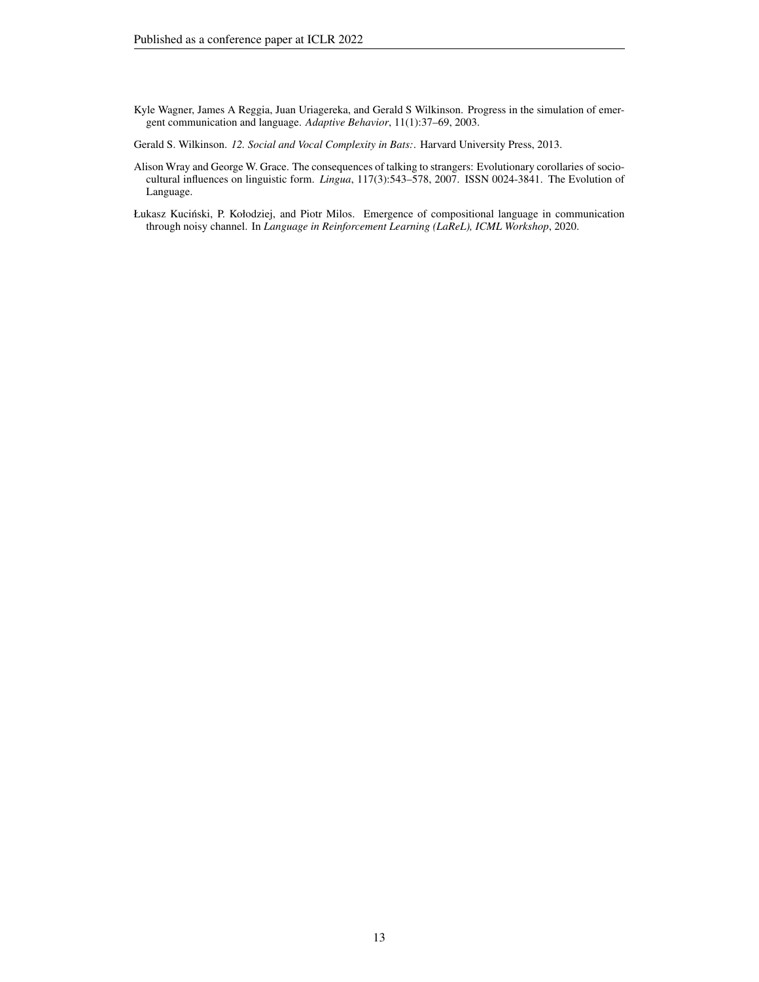- <span id="page-12-0"></span>Kyle Wagner, James A Reggia, Juan Uriagereka, and Gerald S Wilkinson. Progress in the simulation of emergent communication and language. *Adaptive Behavior*, 11(1):37–69, 2003.
- <span id="page-12-1"></span>Gerald S. Wilkinson. *12. Social and Vocal Complexity in Bats:*. Harvard University Press, 2013.
- <span id="page-12-3"></span>Alison Wray and George W. Grace. The consequences of talking to strangers: Evolutionary corollaries of sociocultural influences on linguistic form. *Lingua*, 117(3):543–578, 2007. ISSN 0024-3841. The Evolution of Language.
- <span id="page-12-2"></span>Łukasz Kuciński, P. Kołodziej, and Piotr Milos. Emergence of compositional language in communication through noisy channel. In *Language in Reinforcement Learning (LaReL), ICML Workshop*, 2020.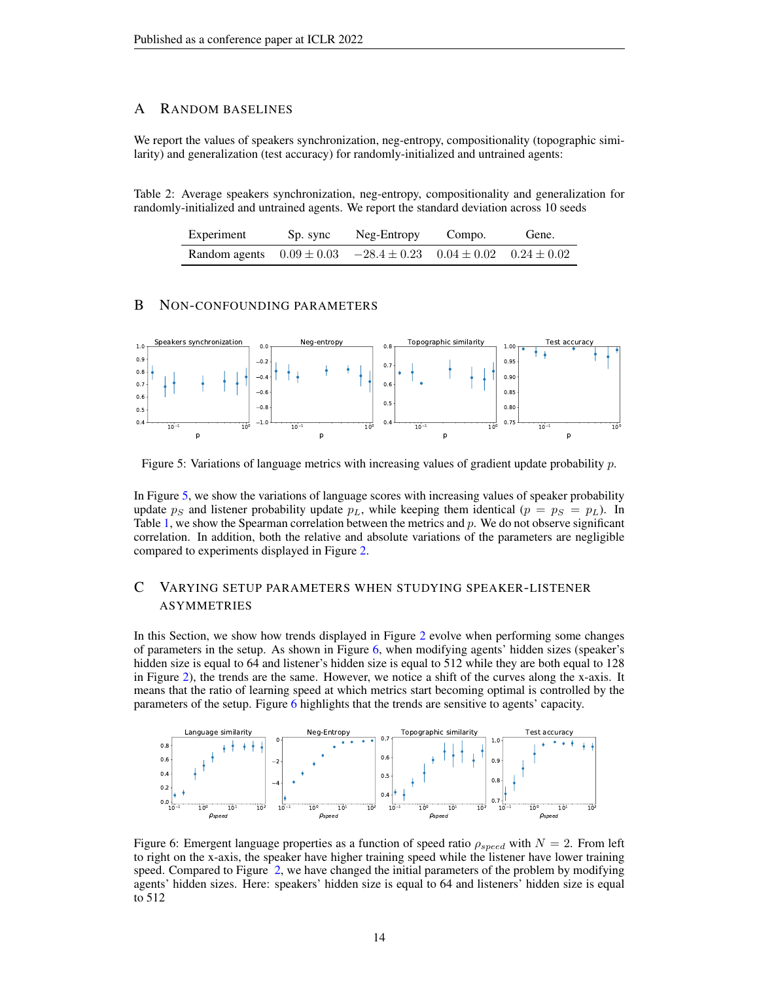## A RANDOM BASELINES

We report the values of speakers synchronization, neg-entropy, compositionality (topographic similarity) and generalization (test accuracy) for randomly-initialized and untrained agents:

Table 2: Average speakers synchronization, neg-entropy, compositionality and generalization for randomly-initialized and untrained agents. We report the standard deviation across 10 seeds

| Experiment                                                                     | Sp. sync | Neg-Entropy | Compo. | Gene. |
|--------------------------------------------------------------------------------|----------|-------------|--------|-------|
| Random agents $0.09 \pm 0.03$ $-28.4 \pm 0.23$ $0.04 \pm 0.02$ $0.24 \pm 0.02$ |          |             |        |       |

# B NON-CONFOUNDING PARAMETERS



<span id="page-13-1"></span>Figure 5: Variations of language metrics with increasing values of gradient update probability p.

In Figure [5,](#page-13-1) we show the variations of language scores with increasing values of speaker probability update  $p_S$  and listener probability update  $p_L$ , while keeping them identical  $(p = p_S = p_L)$ . In Table [1,](#page-6-1) we show the Spearman correlation between the metrics and  $p$ . We do not observe significant correlation. In addition, both the relative and absolute variations of the parameters are negligible compared to experiments displayed in Figure [2.](#page-6-0)

# <span id="page-13-0"></span>C VARYING SETUP PARAMETERS WHEN STUDYING SPEAKER-LISTENER ASYMMETRIES

In this Section, we show how trends displayed in Figure [2](#page-6-0) evolve when performing some changes of parameters in the setup. As shown in Figure [6,](#page-13-2) when modifying agents' hidden sizes (speaker's hidden size is equal to 64 and listener's hidden size is equal to 512 while they are both equal to 128 in Figure [2\)](#page-6-0), the trends are the same. However, we notice a shift of the curves along the x-axis. It means that the ratio of learning speed at which metrics start becoming optimal is controlled by the parameters of the setup. Figure [6](#page-13-2) highlights that the trends are sensitive to agents' capacity.



<span id="page-13-2"></span>Figure 6: Emergent language properties as a function of speed ratio  $\rho_{speed}$  with  $N = 2$ . From left to right on the x-axis, the speaker have higher training speed while the listener have lower training speed. Compared to Figure [2,](#page-6-0) we have changed the initial parameters of the problem by modifying agents' hidden sizes. Here: speakers' hidden size is equal to 64 and listeners' hidden size is equal to 512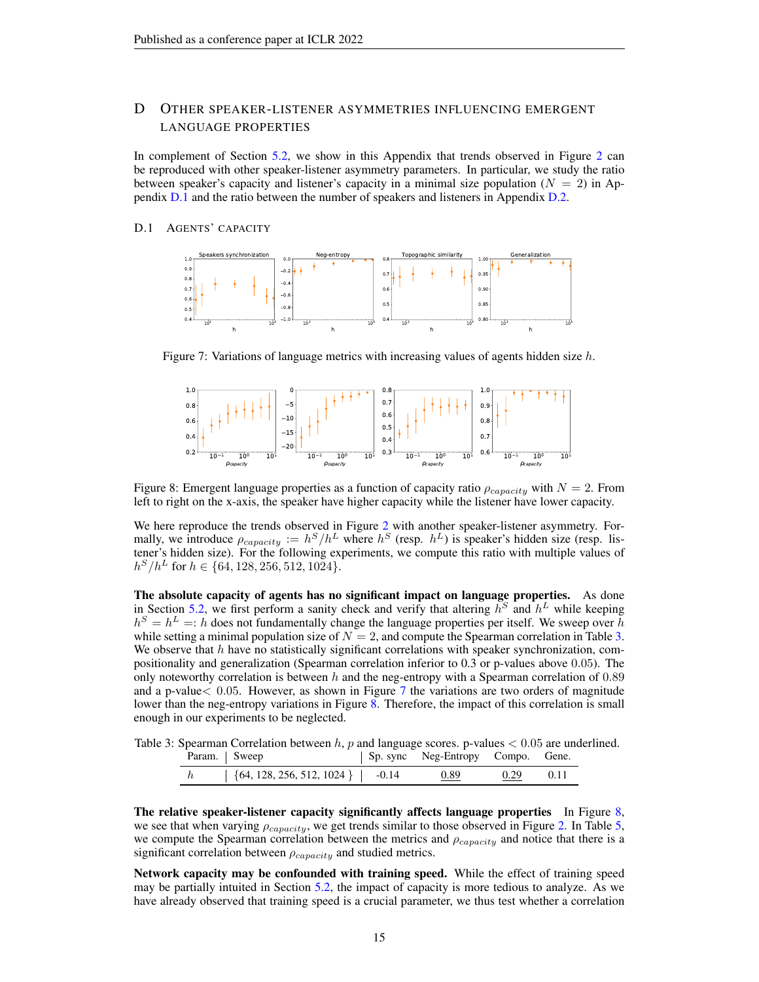# D OTHER SPEAKER-LISTENER ASYMMETRIES INFLUENCING EMERGENT LANGUAGE PROPERTIES

In complement of Section [5.2,](#page-5-1) we show in this Appendix that trends observed in Figure [2](#page-6-0) can be reproduced with other speaker-listener asymmetry parameters. In particular, we study the ratio between speaker's capacity and listener's capacity in a minimal size population ( $N = 2$ ) in Appendix [D.1](#page-14-0) and the ratio between the number of speakers and listeners in Appendix [D.2.](#page-15-0)

#### <span id="page-14-0"></span>D.1 AGENTS' CAPACITY



<span id="page-14-2"></span>Figure 7: Variations of language metrics with increasing values of agents hidden size  $h$ .



<span id="page-14-3"></span>Figure 8: Emergent language properties as a function of capacity ratio  $\rho_{capacity}$  with  $N = 2$ . From left to right on the x-axis, the speaker have higher capacity while the listener have lower capacity.

We here reproduce the trends observed in Figure [2](#page-6-0) with another speaker-listener asymmetry. Formally, we introduce  $\rho_{capacity} := h^S/h^L$  where  $h^S$  (resp.  $h^L$ ) is speaker's hidden size (resp. listener's hidden size). For the following experiments, we compute this ratio with multiple values of  $h^S/h^L$  for  $h \in \{64, 128, 256, 512, 1024\}.$ 

The absolute capacity of agents has no significant impact on language properties. As done in Section [5.2,](#page-5-1) we first perform a sanity check and verify that altering  $h^S$  and  $h^L$  while keeping  $h^S = h^L =: h$  does not fundamentally change the language properties per itself. We sweep over h while setting a minimal population size of  $N = 2$ , and compute the Spearman correlation in Table [3.](#page-14-1) We observe that  $h$  have no statistically significant correlations with speaker synchronization, compositionality and generalization (Spearman correlation inferior to 0.3 or p-values above 0.05). The only noteworthy correlation is between h and the neg-entropy with a Spearman correlation of  $0.89$ and a p-value  $0.05$ . However, as shown in Figure [7](#page-14-2) the variations are two orders of magnitude lower than the neg-entropy variations in Figure [8.](#page-14-3) Therefore, the impact of this correlation is small enough in our experiments to be neglected.

Table 3: Spearman Correlation between  $h$ ,  $p$  and language scores. p-values  $< 0.05$  are underlined.

<span id="page-14-1"></span>

| Param. Sweep |                                                     | Sp. sync Neg-Entropy Compo. Gene. |               |  |
|--------------|-----------------------------------------------------|-----------------------------------|---------------|--|
|              | $\left( \{64, 128, 256, 512, 1024 \} \right)$ -0.14 | 0.89                              | $0.29$ $0.11$ |  |

The relative speaker-listener capacity significantly affects language properties In Figure [8,](#page-14-3) we see that when varying  $\rho_{capacity}$ , we get trends similar to those observed in Figure [2.](#page-6-0) In Table [5,](#page-16-3) we compute the Spearman correlation between the metrics and  $\rho_{capacity}$  and notice that there is a significant correlation between  $\rho_{capacity}$  and studied metrics.

Network capacity may be confounded with training speed. While the effect of training speed may be partially intuited in Section [5.2,](#page-5-1) the impact of capacity is more tedious to analyze. As we have already observed that training speed is a crucial parameter, we thus test whether a correlation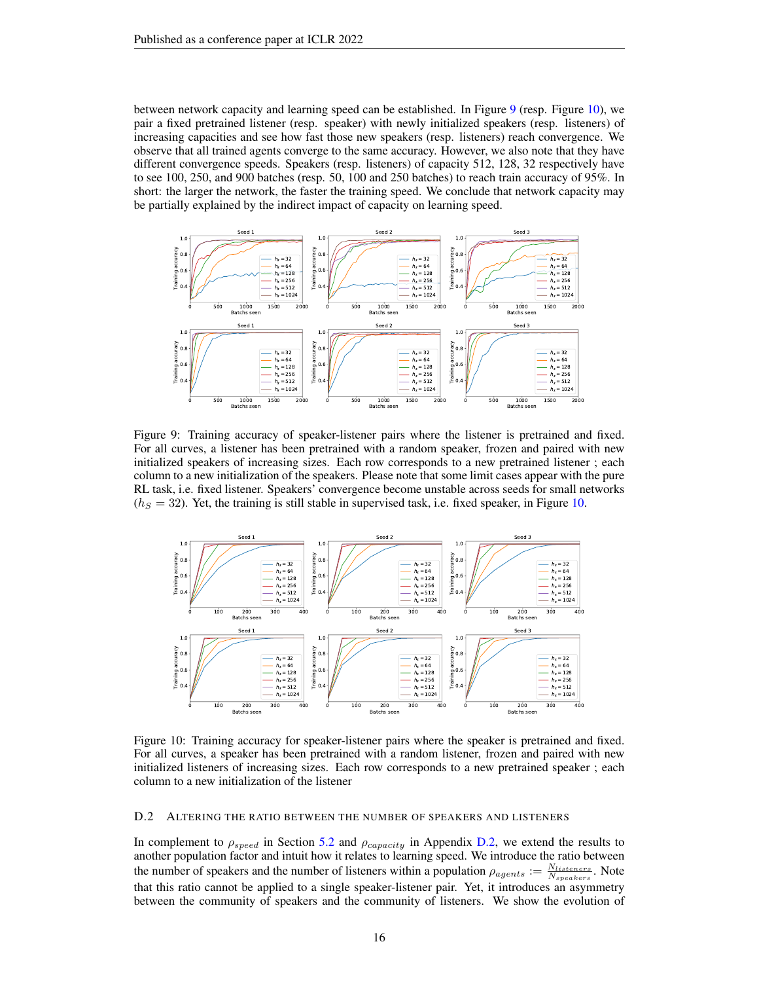between network capacity and learning speed can be established. In Figure [9](#page-15-1) (resp. Figure [10\)](#page-15-2), we pair a fixed pretrained listener (resp. speaker) with newly initialized speakers (resp. listeners) of increasing capacities and see how fast those new speakers (resp. listeners) reach convergence. We observe that all trained agents converge to the same accuracy. However, we also note that they have different convergence speeds. Speakers (resp. listeners) of capacity 512, 128, 32 respectively have to see 100, 250, and 900 batches (resp. 50, 100 and 250 batches) to reach train accuracy of 95%. In short: the larger the network, the faster the training speed. We conclude that network capacity may be partially explained by the indirect impact of capacity on learning speed.



<span id="page-15-1"></span>Figure 9: Training accuracy of speaker-listener pairs where the listener is pretrained and fixed. For all curves, a listener has been pretrained with a random speaker, frozen and paired with new initialized speakers of increasing sizes. Each row corresponds to a new pretrained listener ; each column to a new initialization of the speakers. Please note that some limit cases appear with the pure RL task, i.e. fixed listener. Speakers' convergence become unstable across seeds for small networks  $(h<sub>S</sub> = 32)$ . Yet, the training is still stable in supervised task, i.e. fixed speaker, in Figure [10.](#page-15-2)



<span id="page-15-2"></span>Figure 10: Training accuracy for speaker-listener pairs where the speaker is pretrained and fixed. For all curves, a speaker has been pretrained with a random listener, frozen and paired with new initialized listeners of increasing sizes. Each row corresponds to a new pretrained speaker ; each column to a new initialization of the listener

#### <span id="page-15-0"></span>D.2 ALTERING THE RATIO BETWEEN THE NUMBER OF SPEAKERS AND LISTENERS

In complement to  $\rho_{speed}$  in Section [5.2](#page-5-1) and  $\rho_{capacity}$  in Appendix [D.2,](#page-15-0) we extend the results to another population factor and intuit how it relates to learning speed. We introduce the ratio between the number of speakers and the number of listeners within a population  $\rho_{agents} := \frac{N_{listeners}}{N_{speakers}}$ . Note that this ratio cannot be applied to a single speaker-listener pair. Yet, it introduces an asymmetry between the community of speakers and the community of listeners. We show the evolution of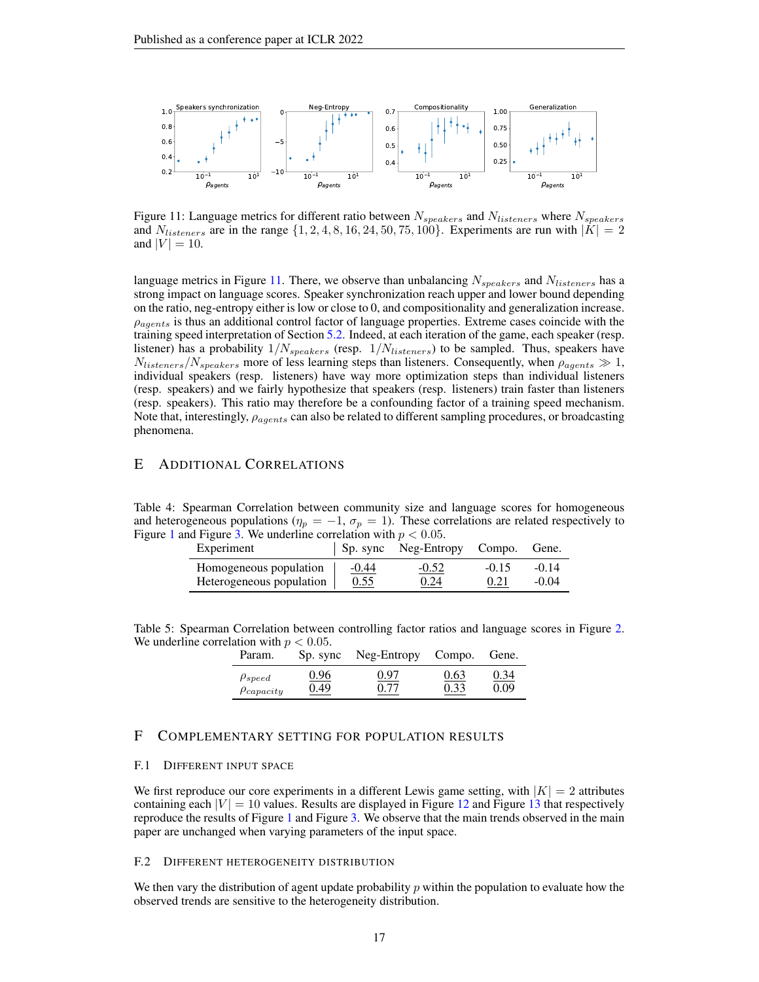

<span id="page-16-4"></span>Figure 11: Language metrics for different ratio between  $N_{speakers}$  and  $N_{listeners}$  where  $N_{speakers}$ and  $N_{listeners}$  are in the range  $\{1, 2, 4, 8, 16, 24, 50, 75, 100\}$ . Experiments are run with  $|K| = 2$ and  $|V| = 10$ .

language metrics in Figure [11.](#page-16-4) There, we observe than unbalancing  $N_{speakers}$  and  $N_{listeners}$  has a strong impact on language scores. Speaker synchronization reach upper and lower bound depending on the ratio, neg-entropy either is low or close to 0, and compositionality and generalization increase.  $\rho_{acents}$  is thus an additional control factor of language properties. Extreme cases coincide with the training speed interpretation of Section [5.2.](#page-5-1) Indeed, at each iteration of the game, each speaker (resp. listener) has a probability  $1/N_{speakers}$  (resp.  $1/N_{listeners}$ ) to be sampled. Thus, speakers have  $N_{listeners}/N_{speakers}$  more of less learning steps than listeners. Consequently, when  $\rho_{agents} \gg 1$ , individual speakers (resp. listeners) have way more optimization steps than individual listeners (resp. speakers) and we fairly hypothesize that speakers (resp. listeners) train faster than listeners (resp. speakers). This ratio may therefore be a confounding factor of a training speed mechanism. Note that, interestingly,  $\rho_{agents}$  can also be related to different sampling procedures, or broadcasting phenomena.

# <span id="page-16-1"></span>E ADDITIONAL CORRELATIONS

Table 4: Spearman Correlation between community size and language scores for homogeneous and heterogeneous populations ( $\eta_p = -1$ ,  $\sigma_p = 1$ ). These correlations are related respectively to Figure [1](#page-5-0) and Figure [3.](#page-7-0) We underline correlation with  $p < 0.05$ .

| Experiment               |         | Sp. sync Neg-Entropy Compo. |         | Gene.   |
|--------------------------|---------|-----------------------------|---------|---------|
| Homogeneous population   | $-0.44$ | $-0.52$                     | $-0.15$ | $-0.14$ |
| Heterogeneous population | 0.55    | 0.24                        | 0.21    | $-0.04$ |

<span id="page-16-3"></span>Table 5: Spearman Correlation between controlling factor ratios and language scores in Figure [2.](#page-6-0) We underline correlation with  $p < 0.05$ .

| Param.            | Sp. sync | Neg-Entropy | Compo. | Gene. |
|-------------------|----------|-------------|--------|-------|
| $\rho_{speed}$    | 0.96     | 0.97        | 0.63   | 0.34  |
| $\rho_{capacity}$ | 0.49     | 0.77        | 0.33   | 0.09  |

# F COMPLEMENTARY SETTING FOR POPULATION RESULTS

#### <span id="page-16-0"></span>F.1 DIFFERENT INPUT SPACE

We first reproduce our core experiments in a different Lewis game setting, with  $|K| = 2$  attributes containing each  $|V| = 10$  values. Results are displayed in Figure [12](#page-17-0) and Figure [13](#page-17-1) that respectively reproduce the results of Figure [1](#page-5-0) and Figure [3.](#page-7-0) We observe that the main trends observed in the main paper are unchanged when varying parameters of the input space.

#### <span id="page-16-2"></span>F.2 DIFFERENT HETEROGENEITY DISTRIBUTION

We then vary the distribution of agent update probability  $p$  within the population to evaluate how the observed trends are sensitive to the heterogeneity distribution.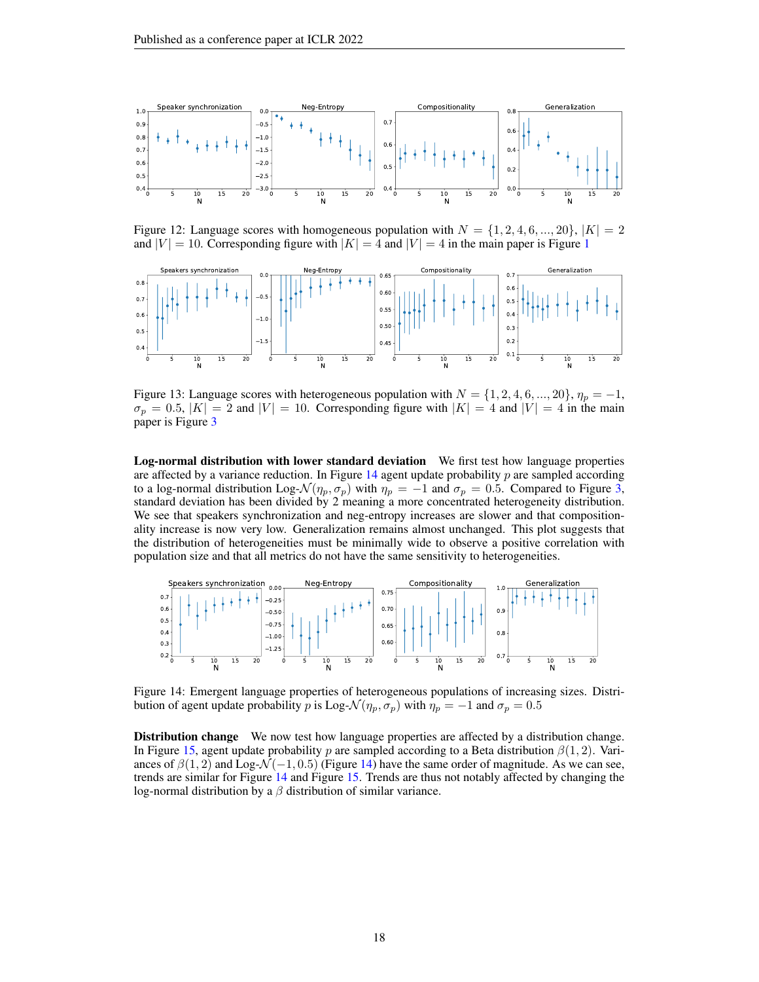

<span id="page-17-0"></span>Figure 12: Language scores with homogeneous population with  $N = \{1, 2, 4, 6, ..., 20\}, |K| = 2$ and  $|V| = 10$  $|V| = 10$  $|V| = 10$ . Corresponding figure with  $|K| = 4$  and  $|V| = 4$  in the main paper is Figure 1



<span id="page-17-1"></span>Figure 13: Language scores with heterogeneous population with  $N = \{1, 2, 4, 6, ..., 20\}$ ,  $\eta_p = -1$ ,  $\sigma_p = 0.5$ ,  $|K| = 2$  and  $|V| = 10$ . Corresponding figure with  $|K| = 4$  and  $|V| = 4$  in the main paper is Figure [3](#page-7-0)

Log-normal distribution with lower standard deviation We first test how language properties are affected by a variance reduction. In Figure [14](#page-17-2) agent update probability  $p$  are sampled according to a log-normal distribution Log- $\mathcal{N}(\eta_p, \sigma_p)$  with  $\eta_p = -1$  and  $\sigma_p = 0.5$ . Compared to Figure [3,](#page-7-0) standard deviation has been divided by 2 meaning a more concentrated heterogeneity distribution. We see that speakers synchronization and neg-entropy increases are slower and that compositionality increase is now very low. Generalization remains almost unchanged. This plot suggests that the distribution of heterogeneities must be minimally wide to observe a positive correlation with population size and that all metrics do not have the same sensitivity to heterogeneities.



<span id="page-17-2"></span>Figure 14: Emergent language properties of heterogeneous populations of increasing sizes. Distribution of agent update probability p is Log- $\mathcal{N}(\eta_p, \sigma_p)$  with  $\eta_p = -1$  and  $\sigma_p = 0.5$ 

Distribution change We now test how language properties are affected by a distribution change. In Figure [15,](#page-18-0) agent update probability p are sampled according to a Beta distribution  $\beta(1, 2)$ . Variances of  $\beta(1, 2)$  and Log- $\mathcal{N}(-1, 0.5)$  (Figure [14\)](#page-17-2) have the same order of magnitude. As we can see, trends are similar for Figure [14](#page-17-2) and Figure [15.](#page-18-0) Trends are thus not notably affected by changing the log-normal distribution by a  $\beta$  distribution of similar variance.